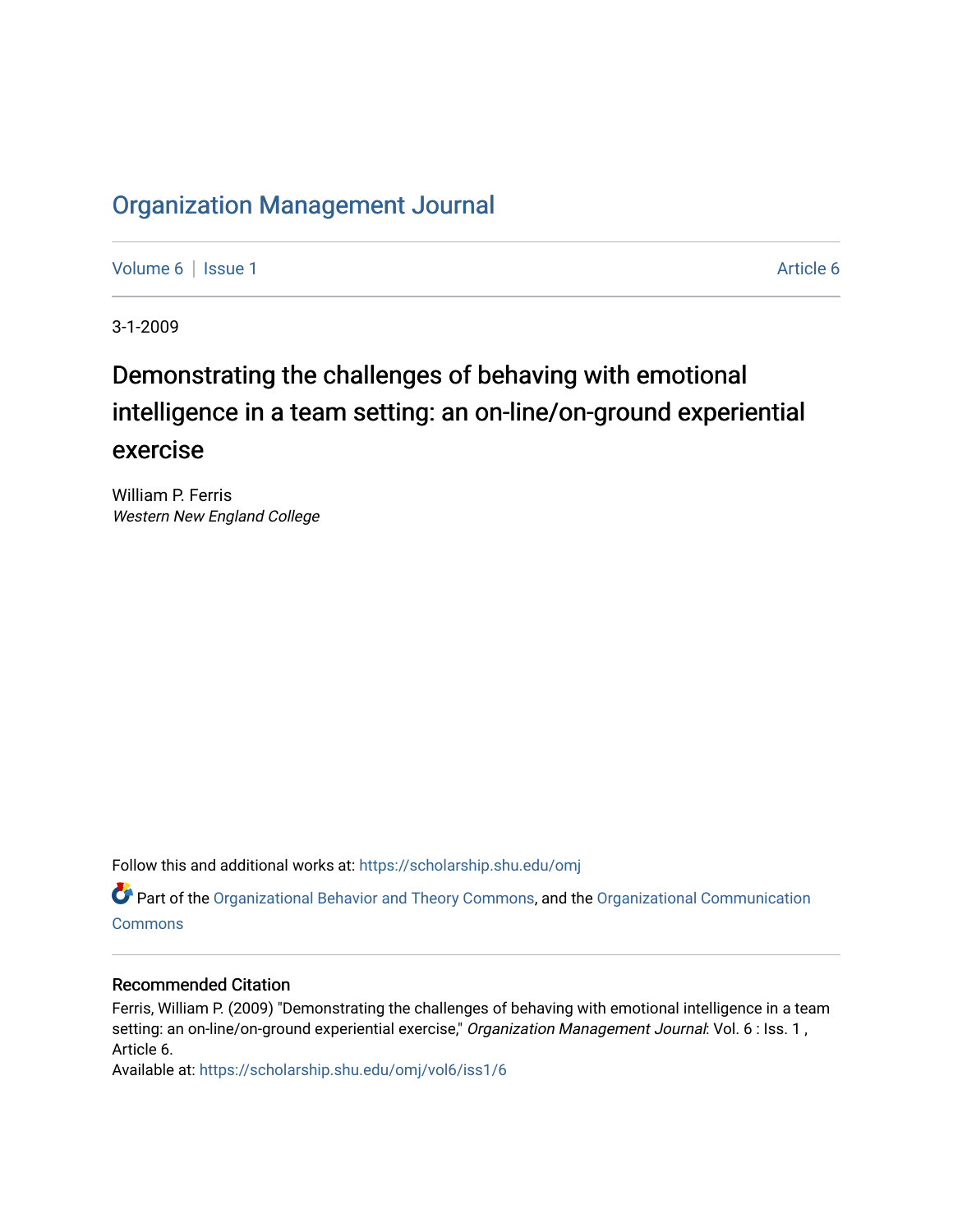# [Organization Management Journal](https://scholarship.shu.edu/omj)

[Volume 6](https://scholarship.shu.edu/omj/vol6) | [Issue 1](https://scholarship.shu.edu/omj/vol6/iss1) [Article 6](https://scholarship.shu.edu/omj/vol6/iss1/6) | Article 6 | Article 6 | Article 6 | Article 6 | Article 6 | Article 6 | Article 6 | Article 6 | Article 6 | Article 6 | Article 6 | Article 6 | Article 6 | Article 6 | Article 6 | Article 6 |

3-1-2009

# Demonstrating the challenges of behaving with emotional intelligence in a team setting: an on-line/on-ground experiential exercise

William P. Ferris Western New England College

Follow this and additional works at: [https://scholarship.shu.edu/omj](https://scholarship.shu.edu/omj?utm_source=scholarship.shu.edu%2Fomj%2Fvol6%2Fiss1%2F6&utm_medium=PDF&utm_campaign=PDFCoverPages) 

Part of the [Organizational Behavior and Theory Commons,](http://network.bepress.com/hgg/discipline/639?utm_source=scholarship.shu.edu%2Fomj%2Fvol6%2Fiss1%2F6&utm_medium=PDF&utm_campaign=PDFCoverPages) and the [Organizational Communication](http://network.bepress.com/hgg/discipline/335?utm_source=scholarship.shu.edu%2Fomj%2Fvol6%2Fiss1%2F6&utm_medium=PDF&utm_campaign=PDFCoverPages) **[Commons](http://network.bepress.com/hgg/discipline/335?utm_source=scholarship.shu.edu%2Fomj%2Fvol6%2Fiss1%2F6&utm_medium=PDF&utm_campaign=PDFCoverPages)** 

# Recommended Citation

Ferris, William P. (2009) "Demonstrating the challenges of behaving with emotional intelligence in a team setting: an on-line/on-ground experiential exercise," Organization Management Journal: Vol. 6 : Iss. 1, Article 6.

Available at: [https://scholarship.shu.edu/omj/vol6/iss1/6](https://scholarship.shu.edu/omj/vol6/iss1/6?utm_source=scholarship.shu.edu%2Fomj%2Fvol6%2Fiss1%2F6&utm_medium=PDF&utm_campaign=PDFCoverPages)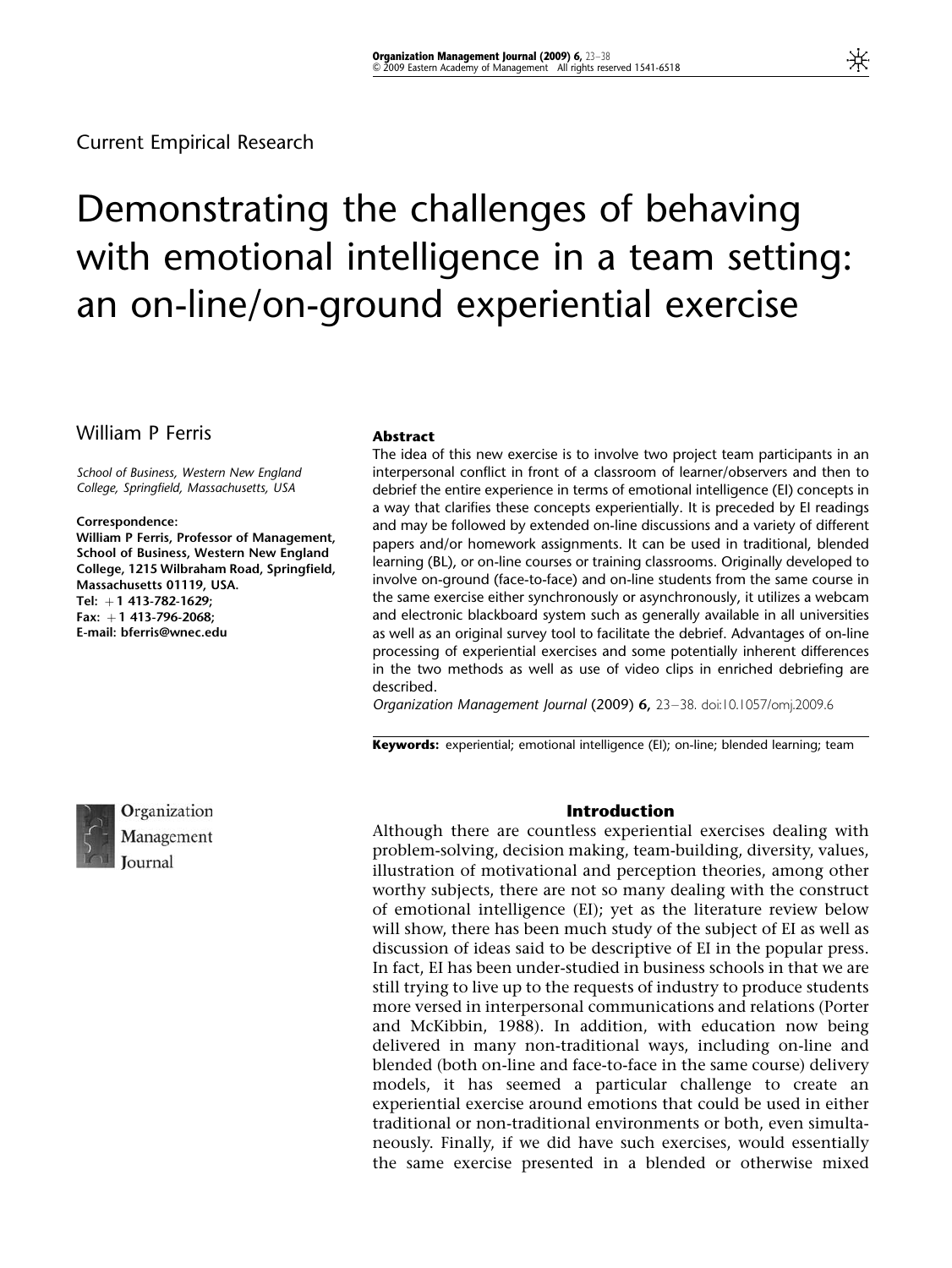Current Empirical Research

# Demonstrating the challenges of behaving with emotional intelligence in a team setting: an on-line/on-ground experiential exercise

# William P Ferris

School of Business, Western New England College, Springfield, Massachusetts, USA

#### Correspondence:

William P Ferris, Professor of Management, School of Business, Western New England College, 1215 Wilbraham Road, Springfield, Massachusetts 01119, USA. Tel:  $+1$  413-782-1629; Fax:  $+1$  413-796-2068; E-mail: bferris@wnec.edu

#### Abstract

The idea of this new exercise is to involve two project team participants in an interpersonal conflict in front of a classroom of learner/observers and then to debrief the entire experience in terms of emotional intelligence (EI) concepts in a way that clarifies these concepts experientially. It is preceded by EI readings and may be followed by extended on-line discussions and a variety of different papers and/or homework assignments. It can be used in traditional, blended learning (BL), or on-line courses or training classrooms. Originally developed to involve on-ground (face-to-face) and on-line students from the same course in the same exercise either synchronously or asynchronously, it utilizes a webcam and electronic blackboard system such as generally available in all universities as well as an original survey tool to facilitate the debrief. Advantages of on-line processing of experiential exercises and some potentially inherent differences in the two methods as well as use of video clips in enriched debriefing are described.

Organization Management Journal (2009) 6, 23–38. doi:10.1057/omj.2009.6

Keywords: experiential; emotional intelligence (EI); on-line; blended learning; team



Organization Management **Journal** 

#### Introduction

Although there are countless experiential exercises dealing with problem-solving, decision making, team-building, diversity, values, illustration of motivational and perception theories, among other worthy subjects, there are not so many dealing with the construct of emotional intelligence (EI); yet as the literature review below will show, there has been much study of the subject of EI as well as discussion of ideas said to be descriptive of EI in the popular press. In fact, EI has been under-studied in business schools in that we are still trying to live up to the requests of industry to produce students more versed in interpersonal communications and relations (Porter and McKibbin, 1988). In addition, with education now being delivered in many non-traditional ways, including on-line and blended (both on-line and face-to-face in the same course) delivery models, it has seemed a particular challenge to create an experiential exercise around emotions that could be used in either traditional or non-traditional environments or both, even simultaneously. Finally, if we did have such exercises, would essentially the same exercise presented in a blended or otherwise mixed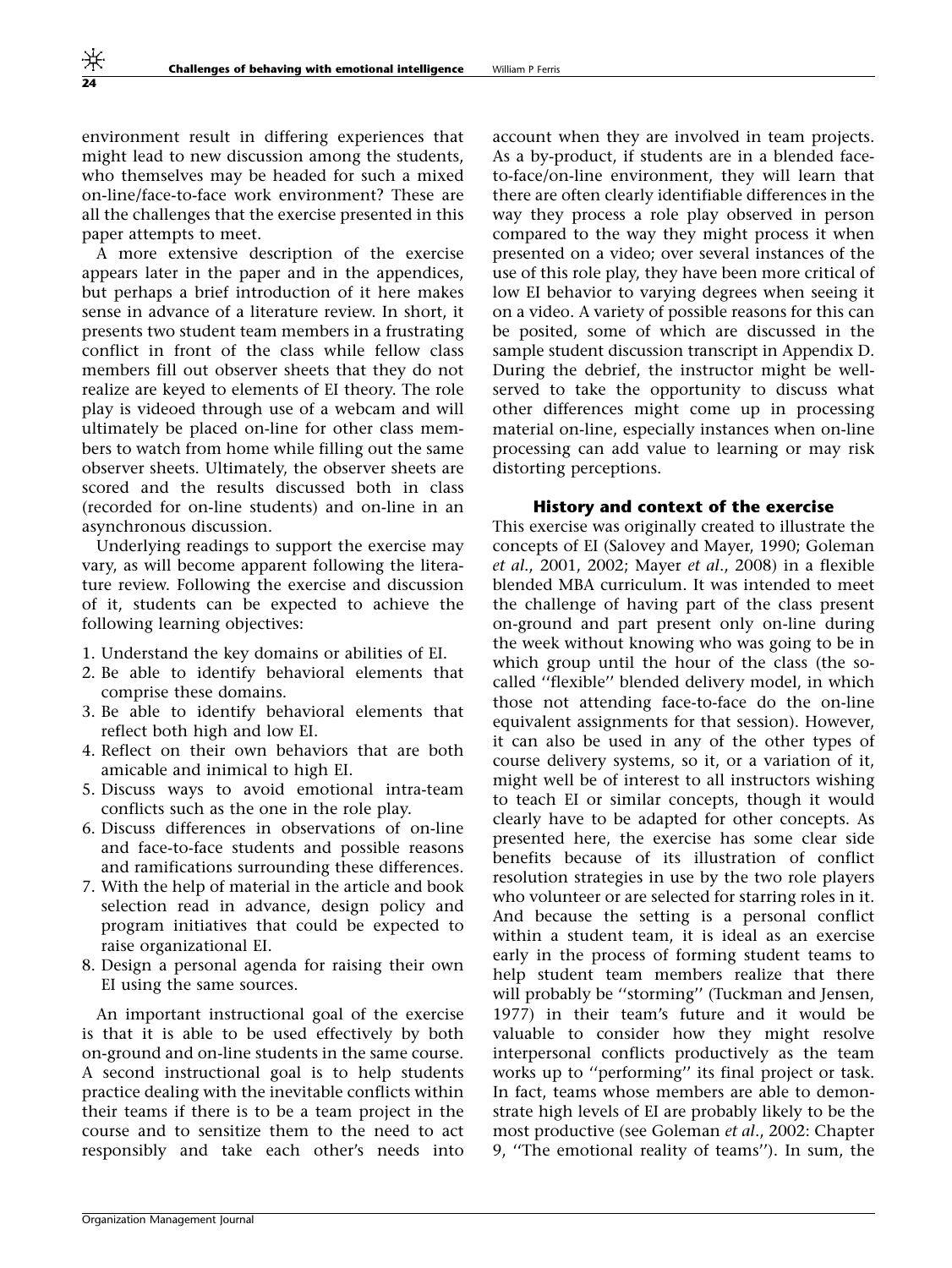environment result in differing experiences that might lead to new discussion among the students, who themselves may be headed for such a mixed on-line/face-to-face work environment? These are all the challenges that the exercise presented in this paper attempts to meet.

A more extensive description of the exercise appears later in the paper and in the appendices, but perhaps a brief introduction of it here makes sense in advance of a literature review. In short, it presents two student team members in a frustrating conflict in front of the class while fellow class members fill out observer sheets that they do not realize are keyed to elements of EI theory. The role play is videoed through use of a webcam and will ultimately be placed on-line for other class members to watch from home while filling out the same observer sheets. Ultimately, the observer sheets are scored and the results discussed both in class (recorded for on-line students) and on-line in an asynchronous discussion.

Underlying readings to support the exercise may vary, as will become apparent following the literature review. Following the exercise and discussion of it, students can be expected to achieve the following learning objectives:

- 1. Understand the key domains or abilities of EI.
- 2. Be able to identify behavioral elements that comprise these domains.
- 3. Be able to identify behavioral elements that reflect both high and low EI.
- 4. Reflect on their own behaviors that are both amicable and inimical to high EI.
- 5. Discuss ways to avoid emotional intra-team conflicts such as the one in the role play.
- 6. Discuss differences in observations of on-line and face-to-face students and possible reasons and ramifications surrounding these differences.
- 7. With the help of material in the article and book selection read in advance, design policy and program initiatives that could be expected to raise organizational EI.
- 8. Design a personal agenda for raising their own EI using the same sources.

An important instructional goal of the exercise is that it is able to be used effectively by both on-ground and on-line students in the same course. A second instructional goal is to help students practice dealing with the inevitable conflicts within their teams if there is to be a team project in the course and to sensitize them to the need to act responsibly and take each other's needs into account when they are involved in team projects. As a by-product, if students are in a blended faceto-face/on-line environment, they will learn that there are often clearly identifiable differences in the way they process a role play observed in person compared to the way they might process it when presented on a video; over several instances of the use of this role play, they have been more critical of low EI behavior to varying degrees when seeing it on a video. A variety of possible reasons for this can be posited, some of which are discussed in the sample student discussion transcript in Appendix D. During the debrief, the instructor might be wellserved to take the opportunity to discuss what other differences might come up in processing material on-line, especially instances when on-line processing can add value to learning or may risk distorting perceptions.

#### History and context of the exercise

This exercise was originally created to illustrate the concepts of EI (Salovey and Mayer, 1990; Goleman et al., 2001, 2002; Mayer et al., 2008) in a flexible blended MBA curriculum. It was intended to meet the challenge of having part of the class present on-ground and part present only on-line during the week without knowing who was going to be in which group until the hour of the class (the socalled ''flexible'' blended delivery model, in which those not attending face-to-face do the on-line equivalent assignments for that session). However, it can also be used in any of the other types of course delivery systems, so it, or a variation of it, might well be of interest to all instructors wishing to teach EI or similar concepts, though it would clearly have to be adapted for other concepts. As presented here, the exercise has some clear side benefits because of its illustration of conflict resolution strategies in use by the two role players who volunteer or are selected for starring roles in it. And because the setting is a personal conflict within a student team, it is ideal as an exercise early in the process of forming student teams to help student team members realize that there will probably be ''storming'' (Tuckman and Jensen, 1977) in their team's future and it would be valuable to consider how they might resolve interpersonal conflicts productively as the team works up to ''performing'' its final project or task. In fact, teams whose members are able to demonstrate high levels of EI are probably likely to be the most productive (see Goleman et al., 2002: Chapter 9, ''The emotional reality of teams''). In sum, the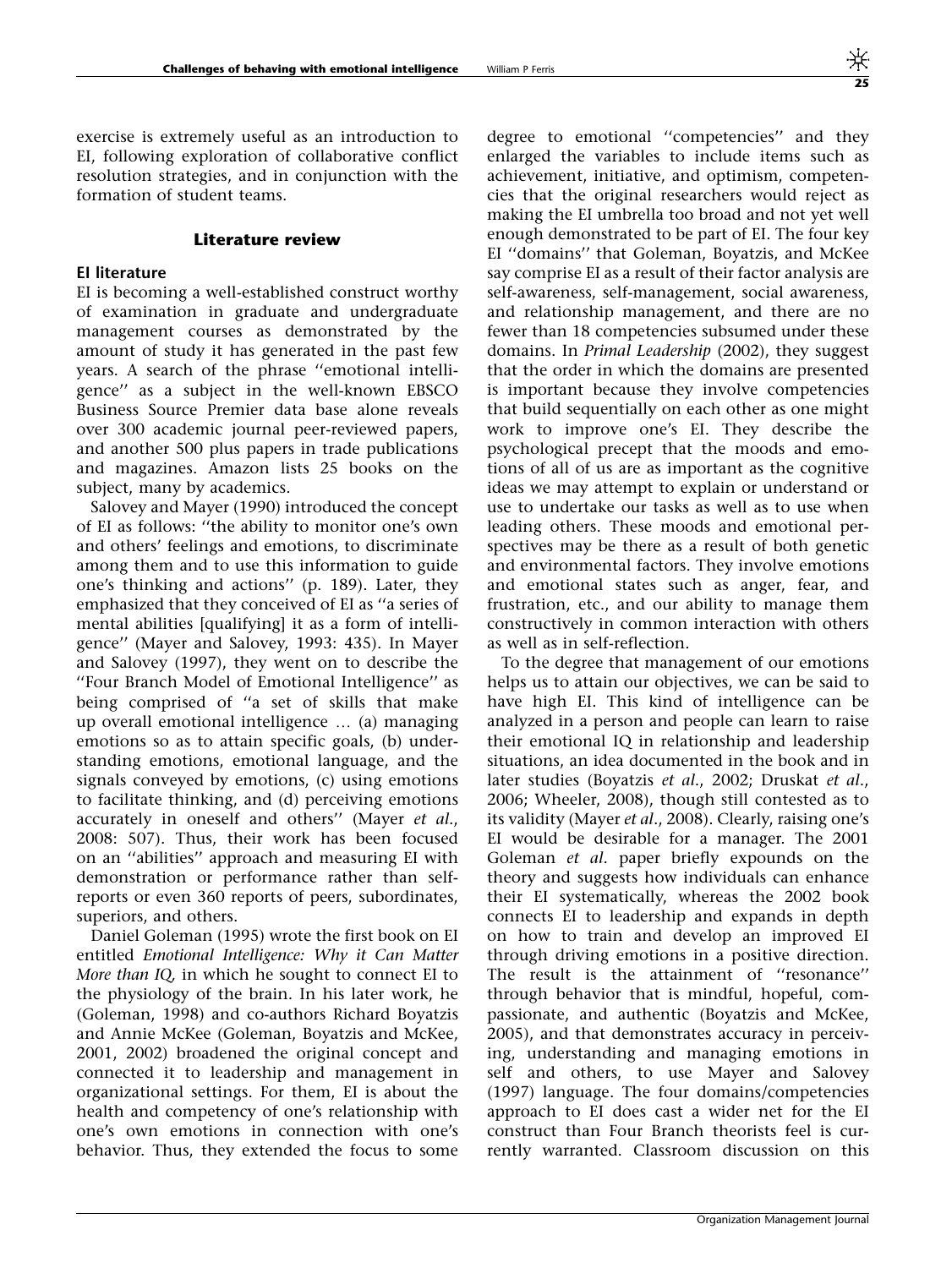exercise is extremely useful as an introduction to EI, following exploration of collaborative conflict resolution strategies, and in conjunction with the formation of student teams.

# Literature review

# EI literature

EI is becoming a well-established construct worthy of examination in graduate and undergraduate management courses as demonstrated by the amount of study it has generated in the past few years. A search of the phrase ''emotional intelligence'' as a subject in the well-known EBSCO Business Source Premier data base alone reveals over 300 academic journal peer-reviewed papers, and another 500 plus papers in trade publications and magazines. Amazon lists 25 books on the subject, many by academics.

Salovey and Mayer (1990) introduced the concept of EI as follows: ''the ability to monitor one's own and others' feelings and emotions, to discriminate among them and to use this information to guide one's thinking and actions'' (p. 189). Later, they emphasized that they conceived of EI as ''a series of mental abilities [qualifying] it as a form of intelligence'' (Mayer and Salovey, 1993: 435). In Mayer and Salovey (1997), they went on to describe the ''Four Branch Model of Emotional Intelligence'' as being comprised of ''a set of skills that make up overall emotional intelligence ... (a) managing emotions so as to attain specific goals, (b) understanding emotions, emotional language, and the signals conveyed by emotions, (c) using emotions to facilitate thinking, and (d) perceiving emotions accurately in oneself and others'' (Mayer et al., 2008: 507). Thus, their work has been focused on an ''abilities'' approach and measuring EI with demonstration or performance rather than selfreports or even 360 reports of peers, subordinates, superiors, and others.

Daniel Goleman (1995) wrote the first book on EI entitled Emotional Intelligence: Why it Can Matter More than IQ, in which he sought to connect EI to the physiology of the brain. In his later work, he (Goleman, 1998) and co-authors Richard Boyatzis and Annie McKee (Goleman, Boyatzis and McKee, 2001, 2002) broadened the original concept and connected it to leadership and management in organizational settings. For them, EI is about the health and competency of one's relationship with one's own emotions in connection with one's behavior. Thus, they extended the focus to some

degree to emotional ''competencies'' and they enlarged the variables to include items such as achievement, initiative, and optimism, competencies that the original researchers would reject as making the EI umbrella too broad and not yet well enough demonstrated to be part of EI. The four key EI ''domains'' that Goleman, Boyatzis, and McKee say comprise EI as a result of their factor analysis are self-awareness, self-management, social awareness, and relationship management, and there are no fewer than 18 competencies subsumed under these domains. In Primal Leadership (2002), they suggest that the order in which the domains are presented is important because they involve competencies that build sequentially on each other as one might work to improve one's EI. They describe the psychological precept that the moods and emotions of all of us are as important as the cognitive ideas we may attempt to explain or understand or use to undertake our tasks as well as to use when leading others. These moods and emotional perspectives may be there as a result of both genetic and environmental factors. They involve emotions and emotional states such as anger, fear, and frustration, etc., and our ability to manage them constructively in common interaction with others as well as in self-reflection.

To the degree that management of our emotions helps us to attain our objectives, we can be said to have high EI. This kind of intelligence can be analyzed in a person and people can learn to raise their emotional IQ in relationship and leadership situations, an idea documented in the book and in later studies (Boyatzis et al., 2002; Druskat et al., 2006; Wheeler, 2008), though still contested as to its validity (Mayer et al., 2008). Clearly, raising one's EI would be desirable for a manager. The 2001 Goleman et al. paper briefly expounds on the theory and suggests how individuals can enhance their EI systematically, whereas the 2002 book connects EI to leadership and expands in depth on how to train and develop an improved EI through driving emotions in a positive direction. The result is the attainment of ''resonance'' through behavior that is mindful, hopeful, compassionate, and authentic (Boyatzis and McKee, 2005), and that demonstrates accuracy in perceiving, understanding and managing emotions in self and others, to use Mayer and Salovey (1997) language. The four domains/competencies approach to EI does cast a wider net for the EI construct than Four Branch theorists feel is currently warranted. Classroom discussion on this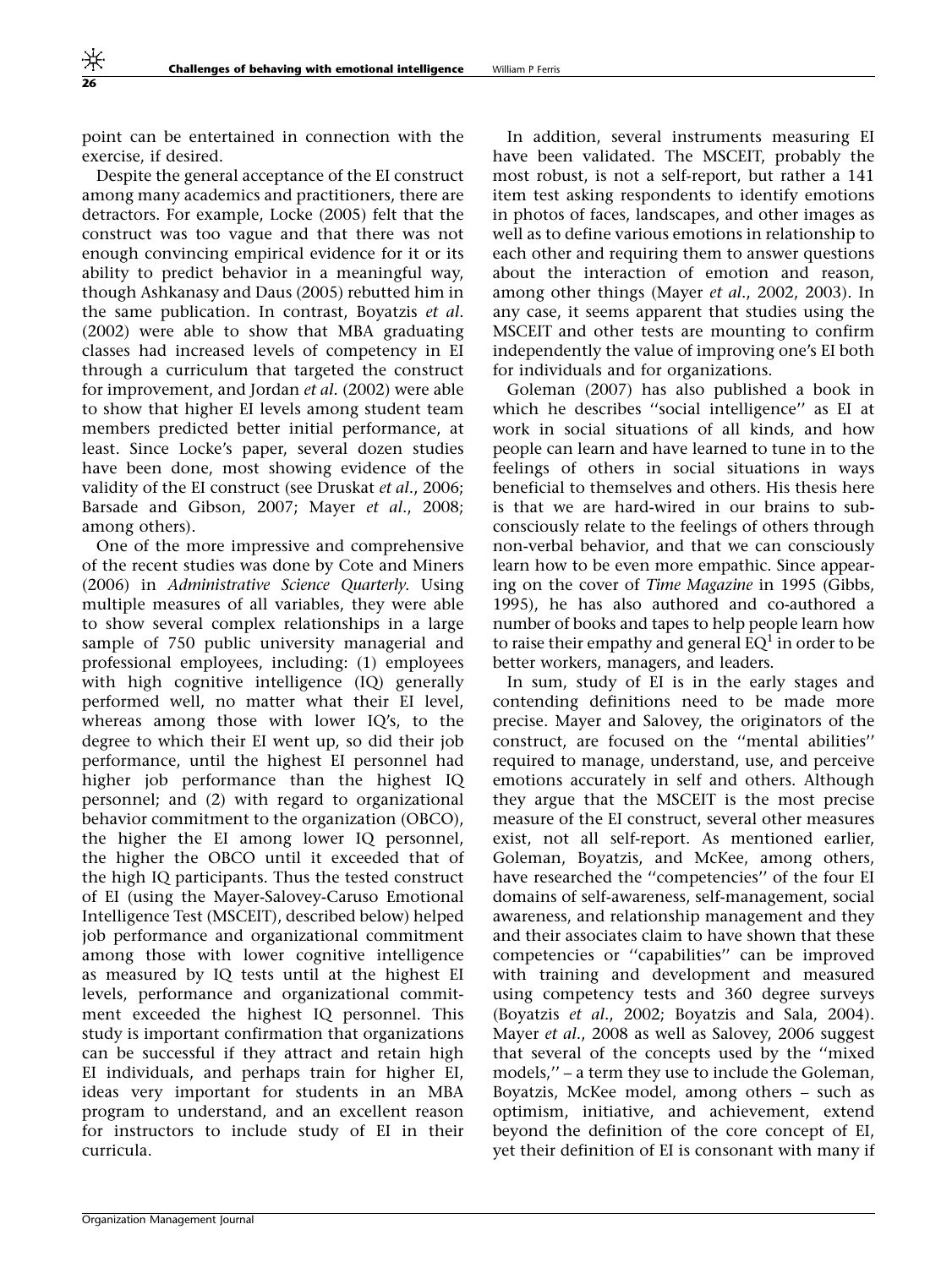point can be entertained in connection with the exercise, if desired.

Despite the general acceptance of the EI construct among many academics and practitioners, there are detractors. For example, Locke (2005) felt that the construct was too vague and that there was not enough convincing empirical evidence for it or its ability to predict behavior in a meaningful way, though Ashkanasy and Daus (2005) rebutted him in the same publication. In contrast, Boyatzis et al. (2002) were able to show that MBA graduating classes had increased levels of competency in EI through a curriculum that targeted the construct for improvement, and Jordan et al. (2002) were able to show that higher EI levels among student team members predicted better initial performance, at least. Since Locke's paper, several dozen studies have been done, most showing evidence of the validity of the EI construct (see Druskat et al., 2006; Barsade and Gibson, 2007; Mayer et al., 2008; among others).

One of the more impressive and comprehensive of the recent studies was done by Cote and Miners (2006) in Administrative Science Quarterly. Using multiple measures of all variables, they were able to show several complex relationships in a large sample of 750 public university managerial and professional employees, including: (1) employees with high cognitive intelligence (IQ) generally performed well, no matter what their EI level, whereas among those with lower IQ's, to the degree to which their EI went up, so did their job performance, until the highest EI personnel had higher job performance than the highest IQ personnel; and (2) with regard to organizational behavior commitment to the organization (OBCO), the higher the EI among lower IQ personnel, the higher the OBCO until it exceeded that of the high IQ participants. Thus the tested construct of EI (using the Mayer-Salovey-Caruso Emotional Intelligence Test (MSCEIT), described below) helped job performance and organizational commitment among those with lower cognitive intelligence as measured by IQ tests until at the highest EI levels, performance and organizational commitment exceeded the highest IQ personnel. This study is important confirmation that organizations can be successful if they attract and retain high EI individuals, and perhaps train for higher EI, ideas very important for students in an MBA program to understand, and an excellent reason for instructors to include study of EI in their curricula.

In addition, several instruments measuring EI have been validated. The MSCEIT, probably the most robust, is not a self-report, but rather a 141 item test asking respondents to identify emotions in photos of faces, landscapes, and other images as well as to define various emotions in relationship to each other and requiring them to answer questions about the interaction of emotion and reason, among other things (Mayer et al., 2002, 2003). In any case, it seems apparent that studies using the MSCEIT and other tests are mounting to confirm independently the value of improving one's EI both for individuals and for organizations.

Goleman (2007) has also published a book in which he describes ''social intelligence'' as EI at work in social situations of all kinds, and how people can learn and have learned to tune in to the feelings of others in social situations in ways beneficial to themselves and others. His thesis here is that we are hard-wired in our brains to subconsciously relate to the feelings of others through non-verbal behavior, and that we can consciously learn how to be even more empathic. Since appearing on the cover of Time Magazine in 1995 (Gibbs, 1995), he has also authored and co-authored a number of books and tapes to help people learn how to raise their empathy and general  $EQ<sup>1</sup>$  in order to be better workers, managers, and leaders.

In sum, study of EI is in the early stages and contending definitions need to be made more precise. Mayer and Salovey, the originators of the construct, are focused on the ''mental abilities'' required to manage, understand, use, and perceive emotions accurately in self and others. Although they argue that the MSCEIT is the most precise measure of the EI construct, several other measures exist, not all self-report. As mentioned earlier, Goleman, Boyatzis, and McKee, among others, have researched the ''competencies'' of the four EI domains of self-awareness, self-management, social awareness, and relationship management and they and their associates claim to have shown that these competencies or ''capabilities'' can be improved with training and development and measured using competency tests and 360 degree surveys (Boyatzis et al., 2002; Boyatzis and Sala, 2004). Mayer et al., 2008 as well as Salovey, 2006 suggest that several of the concepts used by the ''mixed models,'' – a term they use to include the Goleman, Boyatzis, McKee model, among others – such as optimism, initiative, and achievement, extend beyond the definition of the core concept of EI, yet their definition of EI is consonant with many if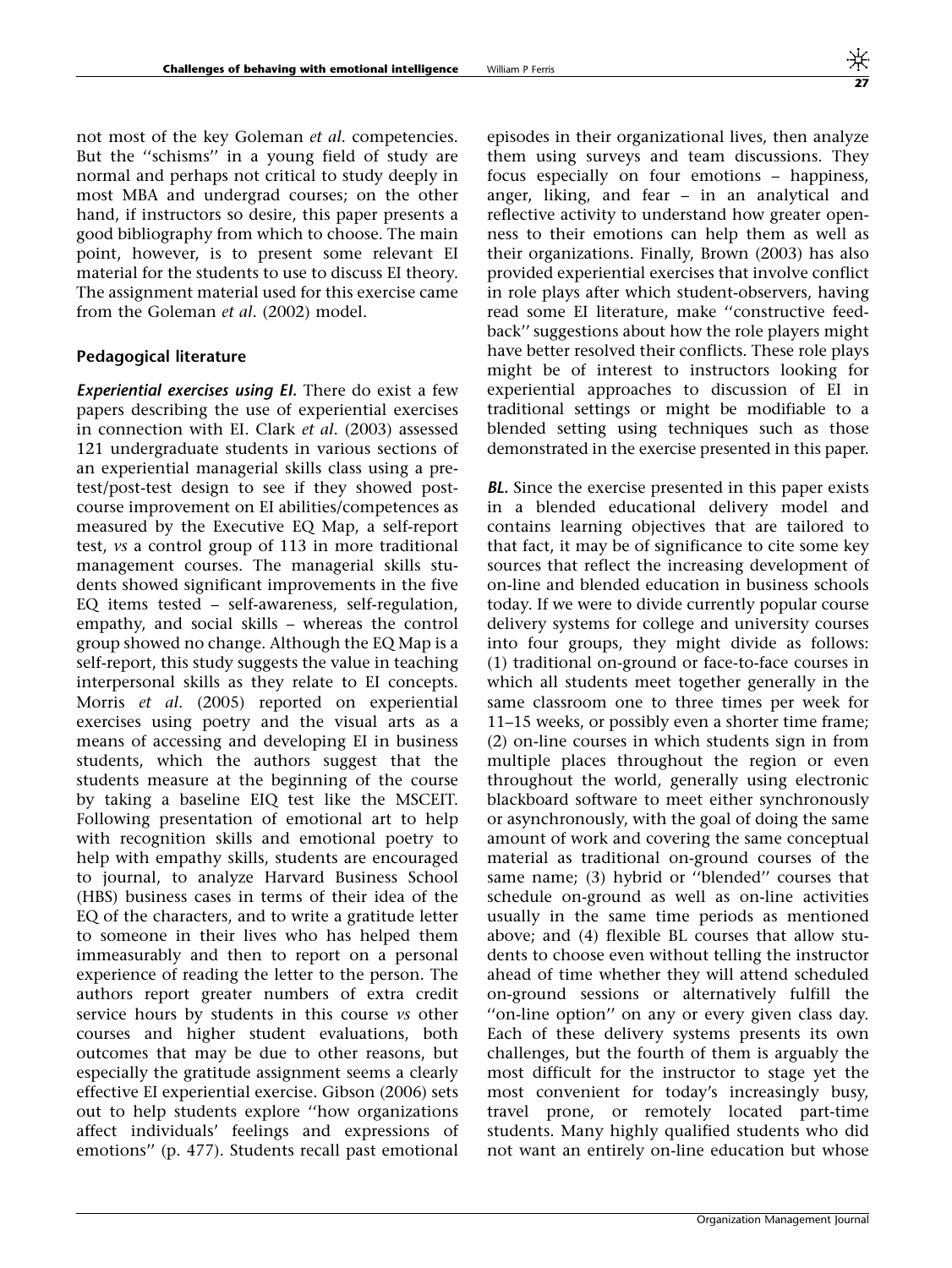not most of the key Goleman et al. competencies. But the ''schisms'' in a young field of study are normal and perhaps not critical to study deeply in most MBA and undergrad courses; on the other hand, if instructors so desire, this paper presents a good bibliography from which to choose. The main point, however, is to present some relevant EI material for the students to use to discuss EI theory. The assignment material used for this exercise came from the Goleman et al. (2002) model.

# Pedagogical literature

Experiential exercises using EI. There do exist a few papers describing the use of experiential exercises in connection with EI. Clark et al. (2003) assessed 121 undergraduate students in various sections of an experiential managerial skills class using a pretest/post-test design to see if they showed postcourse improvement on EI abilities/competences as measured by the Executive EQ Map, a self-report test, vs a control group of 113 in more traditional management courses. The managerial skills students showed significant improvements in the five EQ items tested – self-awareness, self-regulation, empathy, and social skills – whereas the control group showed no change. Although the EQ Map is a self-report, this study suggests the value in teaching interpersonal skills as they relate to EI concepts. Morris et al. (2005) reported on experiential exercises using poetry and the visual arts as a means of accessing and developing EI in business students, which the authors suggest that the students measure at the beginning of the course by taking a baseline EIQ test like the MSCEIT. Following presentation of emotional art to help with recognition skills and emotional poetry to help with empathy skills, students are encouraged to journal, to analyze Harvard Business School (HBS) business cases in terms of their idea of the EQ of the characters, and to write a gratitude letter to someone in their lives who has helped them immeasurably and then to report on a personal experience of reading the letter to the person. The authors report greater numbers of extra credit service hours by students in this course vs other courses and higher student evaluations, both outcomes that may be due to other reasons, but especially the gratitude assignment seems a clearly effective EI experiential exercise. Gibson (2006) sets out to help students explore ''how organizations affect individuals' feelings and expressions of emotions'' (p. 477). Students recall past emotional episodes in their organizational lives, then analyze them using surveys and team discussions. They focus especially on four emotions – happiness, anger, liking, and fear – in an analytical and reflective activity to understand how greater openness to their emotions can help them as well as their organizations. Finally, Brown (2003) has also provided experiential exercises that involve conflict in role plays after which student-observers, having read some EI literature, make ''constructive feedback'' suggestions about how the role players might have better resolved their conflicts. These role plays might be of interest to instructors looking for experiential approaches to discussion of EI in traditional settings or might be modifiable to a blended setting using techniques such as those demonstrated in the exercise presented in this paper.

**BL.** Since the exercise presented in this paper exists in a blended educational delivery model and contains learning objectives that are tailored to that fact, it may be of significance to cite some key sources that reflect the increasing development of on-line and blended education in business schools today. If we were to divide currently popular course delivery systems for college and university courses into four groups, they might divide as follows: (1) traditional on-ground or face-to-face courses in which all students meet together generally in the same classroom one to three times per week for 11–15 weeks, or possibly even a shorter time frame; (2) on-line courses in which students sign in from multiple places throughout the region or even throughout the world, generally using electronic blackboard software to meet either synchronously or asynchronously, with the goal of doing the same amount of work and covering the same conceptual material as traditional on-ground courses of the same name; (3) hybrid or ''blended'' courses that schedule on-ground as well as on-line activities usually in the same time periods as mentioned above; and (4) flexible BL courses that allow students to choose even without telling the instructor ahead of time whether they will attend scheduled on-ground sessions or alternatively fulfill the "on-line option" on any or every given class day. Each of these delivery systems presents its own challenges, but the fourth of them is arguably the most difficult for the instructor to stage yet the most convenient for today's increasingly busy, travel prone, or remotely located part-time students. Many highly qualified students who did not want an entirely on-line education but whose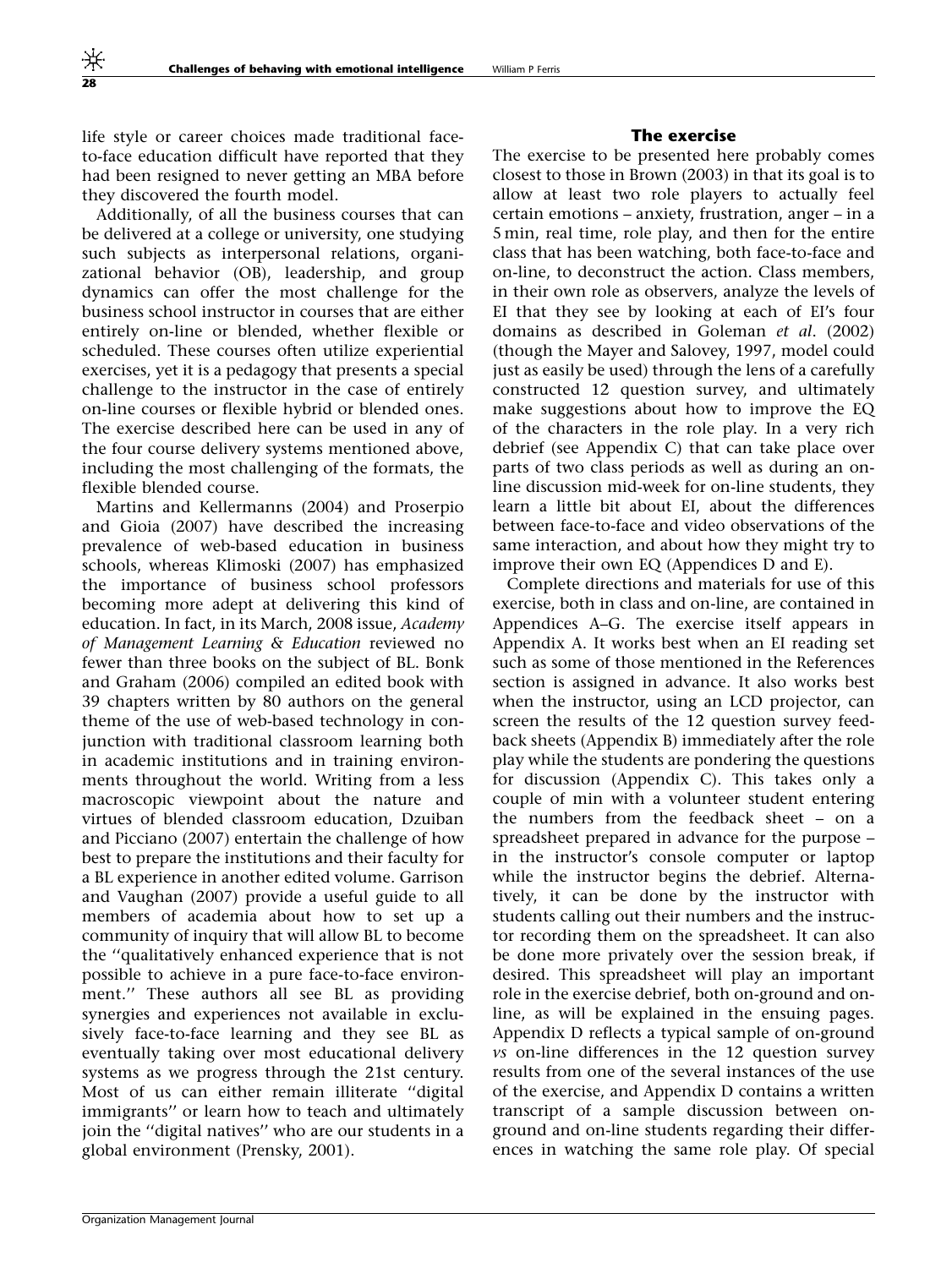life style or career choices made traditional faceto-face education difficult have reported that they had been resigned to never getting an MBA before they discovered the fourth model.

28

米

Additionally, of all the business courses that can be delivered at a college or university, one studying such subjects as interpersonal relations, organizational behavior (OB), leadership, and group dynamics can offer the most challenge for the business school instructor in courses that are either entirely on-line or blended, whether flexible or scheduled. These courses often utilize experiential exercises, yet it is a pedagogy that presents a special challenge to the instructor in the case of entirely on-line courses or flexible hybrid or blended ones. The exercise described here can be used in any of the four course delivery systems mentioned above, including the most challenging of the formats, the flexible blended course.

Martins and Kellermanns (2004) and Proserpio and Gioia (2007) have described the increasing prevalence of web-based education in business schools, whereas Klimoski (2007) has emphasized the importance of business school professors becoming more adept at delivering this kind of education. In fact, in its March, 2008 issue, Academy of Management Learning & Education reviewed no fewer than three books on the subject of BL. Bonk and Graham (2006) compiled an edited book with 39 chapters written by 80 authors on the general theme of the use of web-based technology in conjunction with traditional classroom learning both in academic institutions and in training environments throughout the world. Writing from a less macroscopic viewpoint about the nature and virtues of blended classroom education, Dzuiban and Picciano (2007) entertain the challenge of how best to prepare the institutions and their faculty for a BL experience in another edited volume. Garrison and Vaughan (2007) provide a useful guide to all members of academia about how to set up a community of inquiry that will allow BL to become the ''qualitatively enhanced experience that is not possible to achieve in a pure face-to-face environment.'' These authors all see BL as providing synergies and experiences not available in exclusively face-to-face learning and they see BL as eventually taking over most educational delivery systems as we progress through the 21st century. Most of us can either remain illiterate ''digital immigrants'' or learn how to teach and ultimately join the ''digital natives'' who are our students in a global environment (Prensky, 2001).

#### The exercise

The exercise to be presented here probably comes closest to those in Brown (2003) in that its goal is to allow at least two role players to actually feel certain emotions – anxiety, frustration, anger – in a 5 min, real time, role play, and then for the entire class that has been watching, both face-to-face and on-line, to deconstruct the action. Class members, in their own role as observers, analyze the levels of EI that they see by looking at each of EI's four domains as described in Goleman et al. (2002) (though the Mayer and Salovey, 1997, model could just as easily be used) through the lens of a carefully constructed 12 question survey, and ultimately make suggestions about how to improve the EQ of the characters in the role play. In a very rich debrief (see Appendix C) that can take place over parts of two class periods as well as during an online discussion mid-week for on-line students, they learn a little bit about EI, about the differences between face-to-face and video observations of the same interaction, and about how they might try to improve their own EQ (Appendices D and E).

Complete directions and materials for use of this exercise, both in class and on-line, are contained in Appendices A–G. The exercise itself appears in Appendix A. It works best when an EI reading set such as some of those mentioned in the References section is assigned in advance. It also works best when the instructor, using an LCD projector, can screen the results of the 12 question survey feedback sheets (Appendix B) immediately after the role play while the students are pondering the questions for discussion (Appendix C). This takes only a couple of min with a volunteer student entering the numbers from the feedback sheet – on a spreadsheet prepared in advance for the purpose – in the instructor's console computer or laptop while the instructor begins the debrief. Alternatively, it can be done by the instructor with students calling out their numbers and the instructor recording them on the spreadsheet. It can also be done more privately over the session break, if desired. This spreadsheet will play an important role in the exercise debrief, both on-ground and online, as will be explained in the ensuing pages. Appendix D reflects a typical sample of on-ground vs on-line differences in the 12 question survey results from one of the several instances of the use of the exercise, and Appendix D contains a written transcript of a sample discussion between onground and on-line students regarding their differences in watching the same role play. Of special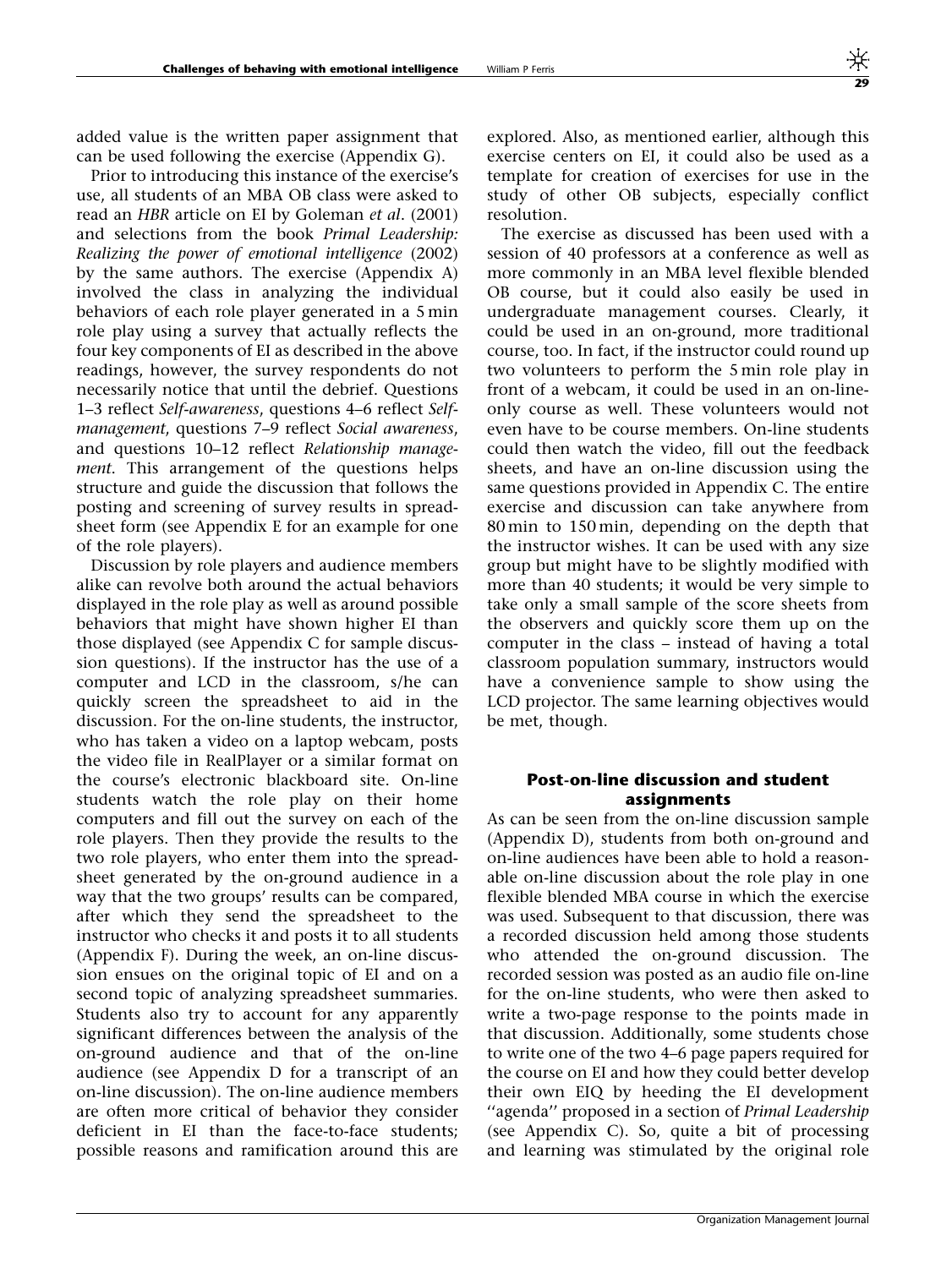added value is the written paper assignment that can be used following the exercise (Appendix G).

Prior to introducing this instance of the exercise's use, all students of an MBA OB class were asked to read an HBR article on EI by Goleman et al. (2001) and selections from the book Primal Leadership: Realizing the power of emotional intelligence (2002) by the same authors. The exercise (Appendix A) involved the class in analyzing the individual behaviors of each role player generated in a 5 min role play using a survey that actually reflects the four key components of EI as described in the above readings, however, the survey respondents do not necessarily notice that until the debrief. Questions 1–3 reflect Self-awareness, questions 4–6 reflect Selfmanagement, questions 7–9 reflect Social awareness, and questions 10–12 reflect Relationship management. This arrangement of the questions helps structure and guide the discussion that follows the posting and screening of survey results in spreadsheet form (see Appendix E for an example for one of the role players).

Discussion by role players and audience members alike can revolve both around the actual behaviors displayed in the role play as well as around possible behaviors that might have shown higher EI than those displayed (see Appendix C for sample discussion questions). If the instructor has the use of a computer and LCD in the classroom, s/he can quickly screen the spreadsheet to aid in the discussion. For the on-line students, the instructor, who has taken a video on a laptop webcam, posts the video file in RealPlayer or a similar format on the course's electronic blackboard site. On-line students watch the role play on their home computers and fill out the survey on each of the role players. Then they provide the results to the two role players, who enter them into the spreadsheet generated by the on-ground audience in a way that the two groups' results can be compared, after which they send the spreadsheet to the instructor who checks it and posts it to all students (Appendix F). During the week, an on-line discussion ensues on the original topic of EI and on a second topic of analyzing spreadsheet summaries. Students also try to account for any apparently significant differences between the analysis of the on-ground audience and that of the on-line audience (see Appendix D for a transcript of an on-line discussion). The on-line audience members are often more critical of behavior they consider deficient in EI than the face-to-face students; possible reasons and ramification around this are explored. Also, as mentioned earlier, although this exercise centers on EI, it could also be used as a template for creation of exercises for use in the study of other OB subjects, especially conflict resolution.

The exercise as discussed has been used with a session of 40 professors at a conference as well as more commonly in an MBA level flexible blended OB course, but it could also easily be used in undergraduate management courses. Clearly, it could be used in an on-ground, more traditional course, too. In fact, if the instructor could round up two volunteers to perform the 5 min role play in front of a webcam, it could be used in an on-lineonly course as well. These volunteers would not even have to be course members. On-line students could then watch the video, fill out the feedback sheets, and have an on-line discussion using the same questions provided in Appendix C. The entire exercise and discussion can take anywhere from 80 min to 150 min, depending on the depth that the instructor wishes. It can be used with any size group but might have to be slightly modified with more than 40 students; it would be very simple to take only a small sample of the score sheets from the observers and quickly score them up on the computer in the class – instead of having a total classroom population summary, instructors would have a convenience sample to show using the LCD projector. The same learning objectives would be met, though.

# Post-on-line discussion and student assignments

As can be seen from the on-line discussion sample (Appendix D), students from both on-ground and on-line audiences have been able to hold a reasonable on-line discussion about the role play in one flexible blended MBA course in which the exercise was used. Subsequent to that discussion, there was a recorded discussion held among those students who attended the on-ground discussion. The recorded session was posted as an audio file on-line for the on-line students, who were then asked to write a two-page response to the points made in that discussion. Additionally, some students chose to write one of the two 4–6 page papers required for the course on EI and how they could better develop their own EIQ by heeding the EI development ''agenda'' proposed in a section of Primal Leadership (see Appendix C). So, quite a bit of processing and learning was stimulated by the original role

29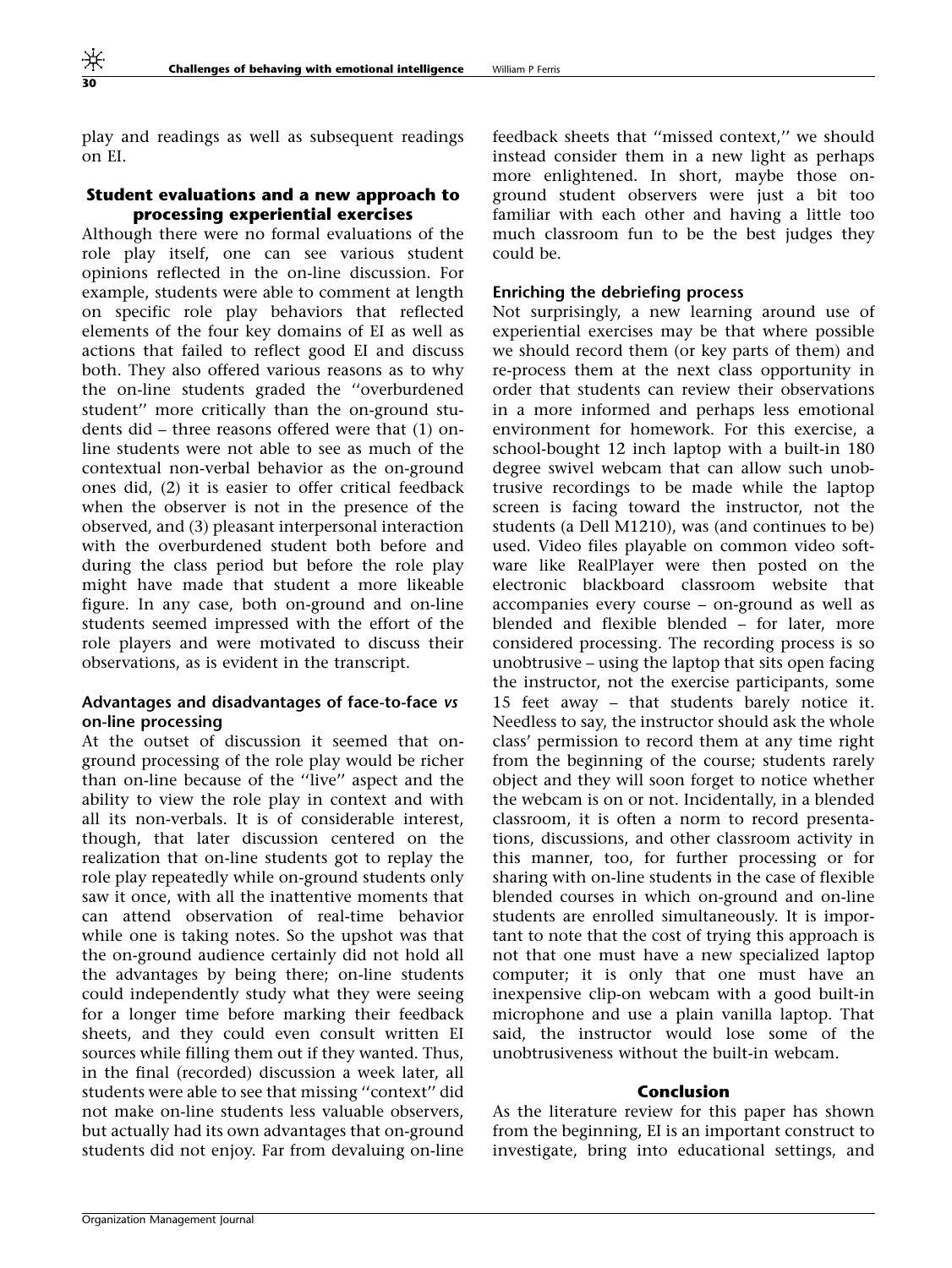play and readings as well as subsequent readings on EI.

30

米

# Student evaluations and a new approach to processing experiential exercises

Although there were no formal evaluations of the role play itself, one can see various student opinions reflected in the on-line discussion. For example, students were able to comment at length on specific role play behaviors that reflected elements of the four key domains of EI as well as actions that failed to reflect good EI and discuss both. They also offered various reasons as to why the on-line students graded the ''overburdened student'' more critically than the on-ground students did – three reasons offered were that (1) online students were not able to see as much of the contextual non-verbal behavior as the on-ground ones did, (2) it is easier to offer critical feedback when the observer is not in the presence of the observed, and (3) pleasant interpersonal interaction with the overburdened student both before and during the class period but before the role play might have made that student a more likeable figure. In any case, both on-ground and on-line students seemed impressed with the effort of the role players and were motivated to discuss their observations, as is evident in the transcript.

# Advantages and disadvantages of face-to-face vs on-line processing

At the outset of discussion it seemed that onground processing of the role play would be richer than on-line because of the ''live'' aspect and the ability to view the role play in context and with all its non-verbals. It is of considerable interest, though, that later discussion centered on the realization that on-line students got to replay the role play repeatedly while on-ground students only saw it once, with all the inattentive moments that can attend observation of real-time behavior while one is taking notes. So the upshot was that the on-ground audience certainly did not hold all the advantages by being there; on-line students could independently study what they were seeing for a longer time before marking their feedback sheets, and they could even consult written EI sources while filling them out if they wanted. Thus, in the final (recorded) discussion a week later, all students were able to see that missing ''context'' did not make on-line students less valuable observers, but actually had its own advantages that on-ground students did not enjoy. Far from devaluing on-line feedback sheets that ''missed context,'' we should instead consider them in a new light as perhaps more enlightened. In short, maybe those onground student observers were just a bit too familiar with each other and having a little too much classroom fun to be the best judges they could be.

# Enriching the debriefing process

Not surprisingly, a new learning around use of experiential exercises may be that where possible we should record them (or key parts of them) and re-process them at the next class opportunity in order that students can review their observations in a more informed and perhaps less emotional environment for homework. For this exercise, a school-bought 12 inch laptop with a built-in 180 degree swivel webcam that can allow such unobtrusive recordings to be made while the laptop screen is facing toward the instructor, not the students (a Dell M1210), was (and continues to be) used. Video files playable on common video software like RealPlayer were then posted on the electronic blackboard classroom website that accompanies every course – on-ground as well as blended and flexible blended – for later, more considered processing. The recording process is so unobtrusive – using the laptop that sits open facing the instructor, not the exercise participants, some 15 feet away – that students barely notice it. Needless to say, the instructor should ask the whole class' permission to record them at any time right from the beginning of the course; students rarely object and they will soon forget to notice whether the webcam is on or not. Incidentally, in a blended classroom, it is often a norm to record presentations, discussions, and other classroom activity in this manner, too, for further processing or for sharing with on-line students in the case of flexible blended courses in which on-ground and on-line students are enrolled simultaneously. It is important to note that the cost of trying this approach is not that one must have a new specialized laptop computer; it is only that one must have an inexpensive clip-on webcam with a good built-in microphone and use a plain vanilla laptop. That said, the instructor would lose some of the unobtrusiveness without the built-in webcam.

#### Conclusion

As the literature review for this paper has shown from the beginning, EI is an important construct to investigate, bring into educational settings, and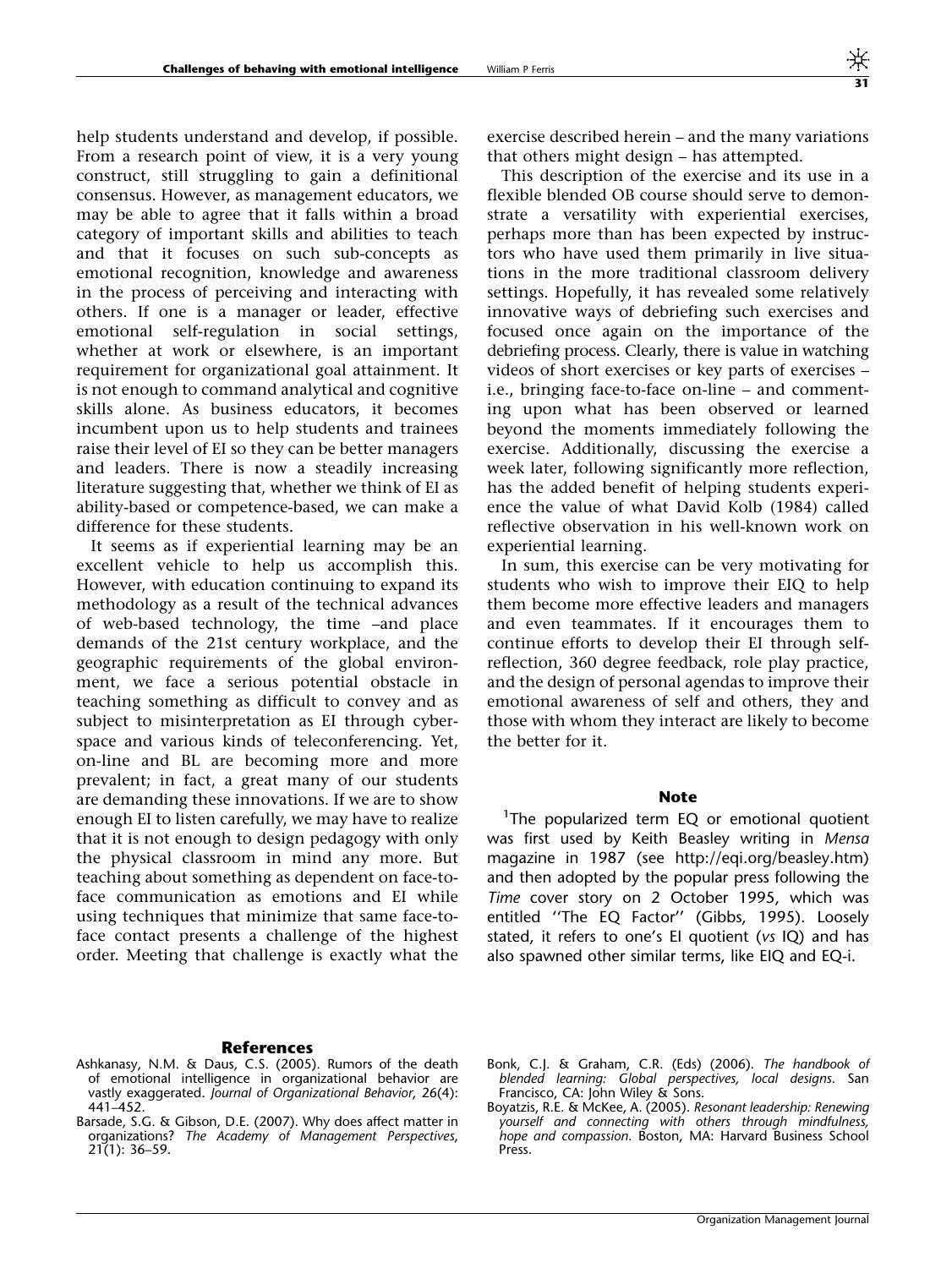help students understand and develop, if possible. From a research point of view, it is a very young construct, still struggling to gain a definitional consensus. However, as management educators, we may be able to agree that it falls within a broad category of important skills and abilities to teach and that it focuses on such sub-concepts as emotional recognition, knowledge and awareness in the process of perceiving and interacting with others. If one is a manager or leader, effective emotional self-regulation in social settings, whether at work or elsewhere, is an important requirement for organizational goal attainment. It is not enough to command analytical and cognitive skills alone. As business educators, it becomes incumbent upon us to help students and trainees raise their level of EI so they can be better managers and leaders. There is now a steadily increasing literature suggesting that, whether we think of EI as ability-based or competence-based, we can make a difference for these students.

It seems as if experiential learning may be an excellent vehicle to help us accomplish this. However, with education continuing to expand its methodology as a result of the technical advances of web-based technology, the time –and place demands of the 21st century workplace, and the geographic requirements of the global environment, we face a serious potential obstacle in teaching something as difficult to convey and as subject to misinterpretation as EI through cyberspace and various kinds of teleconferencing. Yet, on-line and BL are becoming more and more prevalent; in fact, a great many of our students are demanding these innovations. If we are to show enough EI to listen carefully, we may have to realize that it is not enough to design pedagogy with only the physical classroom in mind any more. But teaching about something as dependent on face-toface communication as emotions and EI while using techniques that minimize that same face-toface contact presents a challenge of the highest order. Meeting that challenge is exactly what the

#### References

- Ashkanasy, N.M. & Daus, C.S. (2005). Rumors of the death of emotional intelligence in organizational behavior are vastly exaggerated. Journal of Organizational Behavior, 26(4): 441–452.
- Barsade, S.G. & Gibson, D.E. (2007). Why does affect matter in organizations? The Academy of Management Perspectives,  $21(1)$ : 36–59.

exercise described herein – and the many variations that others might design – has attempted.

This description of the exercise and its use in a flexible blended OB course should serve to demonstrate a versatility with experiential exercises, perhaps more than has been expected by instructors who have used them primarily in live situations in the more traditional classroom delivery settings. Hopefully, it has revealed some relatively innovative ways of debriefing such exercises and focused once again on the importance of the debriefing process. Clearly, there is value in watching videos of short exercises or key parts of exercises – i.e., bringing face-to-face on-line – and commenting upon what has been observed or learned beyond the moments immediately following the exercise. Additionally, discussing the exercise a week later, following significantly more reflection, has the added benefit of helping students experience the value of what David Kolb (1984) called reflective observation in his well-known work on experiential learning.

In sum, this exercise can be very motivating for students who wish to improve their EIQ to help them become more effective leaders and managers and even teammates. If it encourages them to continue efforts to develop their EI through selfreflection, 360 degree feedback, role play practice, and the design of personal agendas to improve their emotional awareness of self and others, they and those with whom they interact are likely to become the better for it.

#### **Note**

<sup>1</sup>The popularized term EQ or emotional quotient was first used by Keith Beasley writing in Mensa magazine in 1987 (see http://eqi.org/beasley.htm) and then adopted by the popular press following the Time cover story on 2 October 1995, which was entitled ''The EQ Factor'' (Gibbs, 1995). Loosely stated, it refers to one's EI quotient (vs IQ) and has also spawned other similar terms, like EIQ and EQ-i.

- Bonk, C.J. & Graham, C.R. (Eds) (2006). The handbook of blended learning: Global perspectives, local designs. San Francisco, CA: John Wiley & Sons.
- Boyatzis, R.E. & McKee, A. (2005). Resonant leadership: Renewing yourself and connecting with others through mindfulness, hope and compassion. Boston, MA: Harvard Business School Press.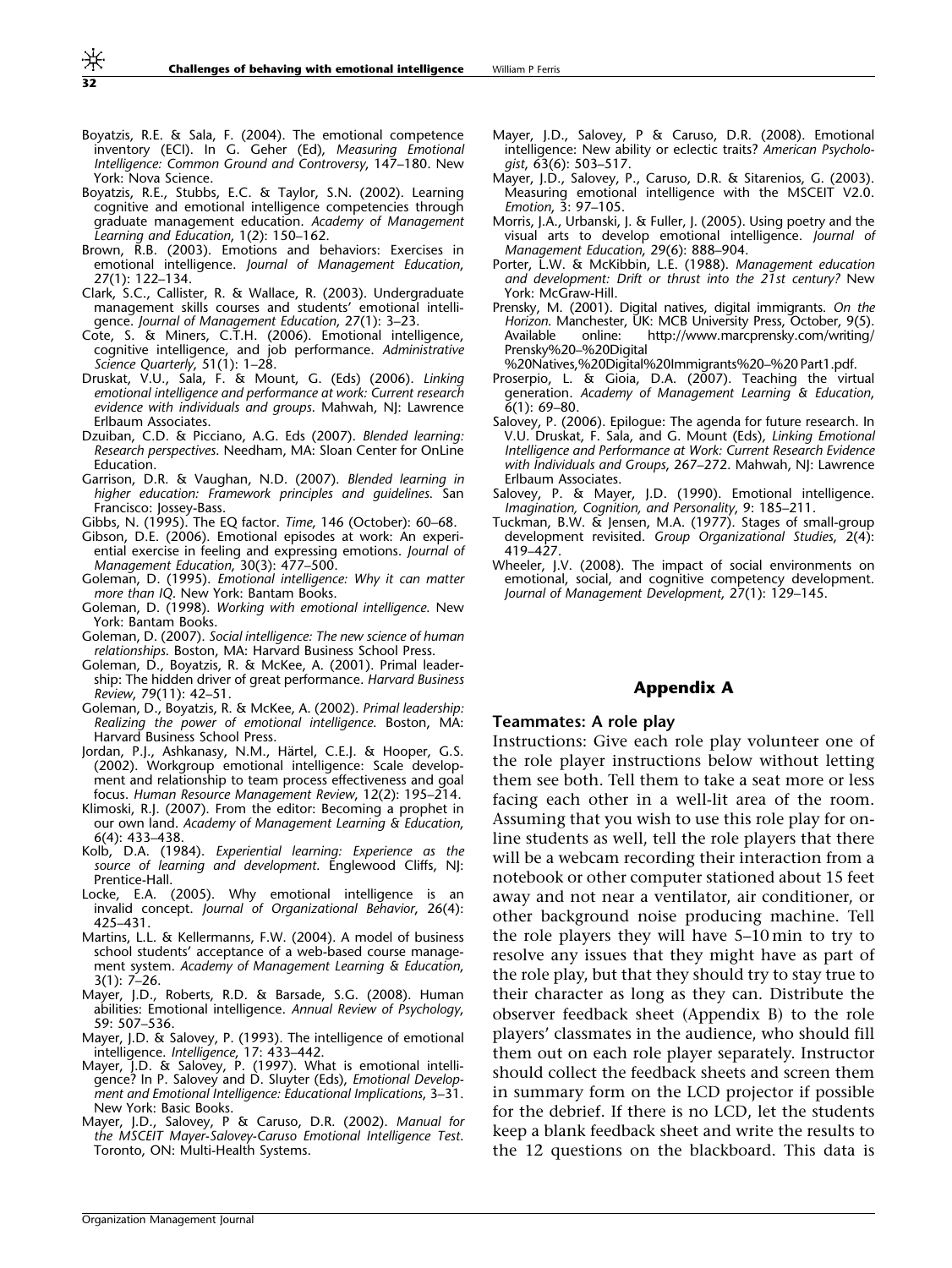- Boyatzis, R.E. & Sala, F. (2004). The emotional competence inventory (ECI). In G. Geher (Ed), Measuring Emotional Intelligence: Common Ground and Controversy, 147–180. New York: Nova Science.
- Boyatzis, R.E., Stubbs, E.C. & Taylor, S.N. (2002). Learning cognitive and emotional intelligence competencies through graduate management education. Academy of Management Learning and Education, 1(2): 150–162.
- Brown, R.B. (2003). Emotions and behaviors: Exercises in emotional intelligence. Journal of Management Education, 27(1): 122–134.
- Clark, S.C., Callister, R. & Wallace, R. (2003). Undergraduate management skills courses and students' emotional intelligence. Journal of Management Education, 27(1): 3–23.
- Cote, S. & Miners, C.T.H. (2006). Emotional intelligence, cognitive intelligence, and job performance. Administrative Science Quarterly, 51(1): 1–28.
- Druskat, V.U., Sala, F. & Mount, G. (Eds) (2006). Linking emotional intelligence and performance at work: Current research evidence with individuals and groups. Mahwah, NJ: Lawrence Erlbaum Associates.
- Dzuiban, C.D. & Picciano, A.G. Eds (2007). Blended learning: Research perspectives. Needham, MA: Sloan Center for OnLine **Education**
- Garrison, D.R. & Vaughan, N.D. (2007). Blended learning in higher education: Framework principles and guidelines. San Francisco: Jossey-Bass.
- Gibbs, N. (1995). The EQ factor. Time, 146 (October): 60–68.
- Gibson, D.E. (2006). Emotional episodes at work: An experiential exercise in feeling and expressing emotions. Journal of Management Education, 30(3): 477–500.
- Goleman, D. (1995). Emotional intelligence: Why it can matter more than IQ. New York: Bantam Books.
- Goleman, D. (1998). Working with emotional intelligence. New York: Bantam Books.
- Goleman, D. (2007). Social intelligence: The new science of human relationships. Boston, MA: Harvard Business School Press.
- Goleman, D., Boyatzis, R. & McKee, A. (2001). Primal leadership: The hidden driver of great performance. Harvard Business Review, 79(11): 42–51.
- Goleman, D., Boyatzis, R. & McKee, A. (2002). Primal leadership: Realizing the power of emotional intelligence. Boston, MA: Harvard Business School Press.
- Jordan, P.J., Ashkanasy, N.M., Härtel, C.E.J. & Hooper, G.S. (2002). Workgroup emotional intelligence: Scale development and relationship to team process effectiveness and goal focus. Human Resource Management Review, 12(2): 195–214.
- Klimoski, R.J. (2007). From the editor: Becoming a prophet in our own land. Academy of Management Learning & Education, 6(4): 433–438.
- Kolb, D.A. (1984). Experiential learning: Experience as the source of learning and development. Englewood Cliffs, NJ: .Prentice-Hall<br>Locke. E.A
- E.A. (2005). Why emotional intelligence is an invalid concept. Journal of Organizational Behavior, 26(4): 425–431.
- Martins, L.L. & Kellermanns, F.W. (2004). A model of business school students' acceptance of a web-based course management system. Academy of Management Learning & Education, 3(1): 7–26.
- Mayer, J.D., Roberts, R.D. & Barsade, S.G. (2008). Human abilities: Emotional intelligence. Annual Review of Psychology, 59: 507–536.
- Mayer, J.D. & Salovey, P. (1993). The intelligence of emotional intelligence. Intelligence, 17: 433–442.
- Mayer, J.D. & Salovey, P. (1997). What is emotional intelligence? In P. Salovey and D. Sluyter (Eds), Emotional Development and Emotional Intelligence: Educational Implications, 3–31. New York: Basic Books.
- Mayer, J.D., Salovey, P & Caruso, D.R. (2002). Manual for the MSCEIT Mayer-Salovey-Caruso Emotional Intelligence Test. Toronto, ON: Multi-Health Systems.
- Mayer, J.D., Salovey, P & Caruso, D.R. (2008). Emotional intelligence: New ability or eclectic traits? American Psychologist, 63(6): 503–517.
- Mayer, J.D., Salovey, P., Caruso, D.R. & Sitarenios, G. (2003). Measuring emotional intelligence with the MSCEIT V2.0. Emotion, 3: 97–105.
- Morris, J.A., Urbanski, J. & Fuller, J. (2005). Using poetry and the visual arts to develop emotional intelligence. Journal of Management Education, 29(6): 888–904.
- Porter, L.W. & McKibbin, L.E. (1988). Management education and development: Drift or thrust into the 21st century? New York: McGraw-Hill.
- Prensky, M. (2001). Digital natives, digital immigrants. On the Horizon. Manchester, UK: MCB University Press, October, 9(5). Available online: http://www.marcprensky.com/writing/ Prensky%20–%20Digital

%20Natives,%20Digital%20Immigrants%20–%20 Part1.pdf.

- Proserpio, L. & Gioia, D.A. (2007). Teaching the virtual generation. Academy of Management Learning & Education, 6(1): 69–80.
- Salovey, P. (2006). Epilogue: The agenda for future research. In V.U. Druskat, F. Sala, and G. Mount (Eds), Linking Emotional Intelligence and Performance at Work: Current Research Evidence with Individuals and Groups, 267-272. Mahwah, NJ: Lawrence Erlbaum Associates.
- Salovey, P. & Mayer, J.D. (1990). Emotional intelligence. Imagination, Cognition, and Personality, 9: 185-211.
- Tuckman, B.W. & Jensen, M.A. (1977). Stages of small-group development revisited. Group Organizational Studies, 2(4): 419–427.
- Wheeler, J.V. (2008). The impact of social environments on emotional, social, and cognitive competency development. Journal of Management Development, 27(1): 129–145.

# Appendix A

#### Teammates: A role play

Instructions: Give each role play volunteer one of the role player instructions below without letting them see both. Tell them to take a seat more or less facing each other in a well-lit area of the room. Assuming that you wish to use this role play for online students as well, tell the role players that there will be a webcam recording their interaction from a notebook or other computer stationed about 15 feet away and not near a ventilator, air conditioner, or other background noise producing machine. Tell the role players they will have 5–10 min to try to resolve any issues that they might have as part of the role play, but that they should try to stay true to their character as long as they can. Distribute the observer feedback sheet (Appendix B) to the role players' classmates in the audience, who should fill them out on each role player separately. Instructor should collect the feedback sheets and screen them in summary form on the LCD projector if possible for the debrief. If there is no LCD, let the students keep a blank feedback sheet and write the results to the 12 questions on the blackboard. This data is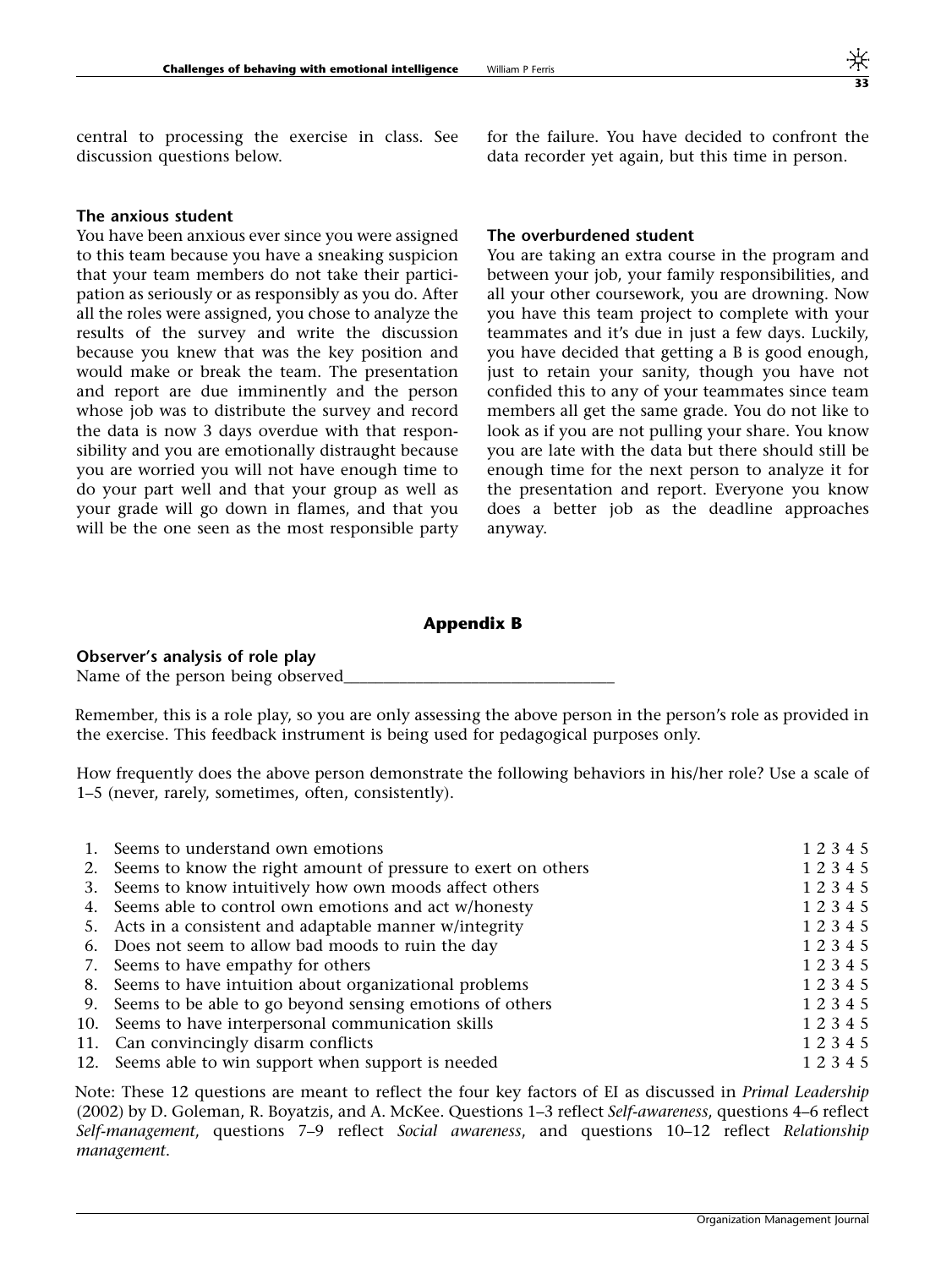central to processing the exercise in class. See discussion questions below.

#### The anxious student

You have been anxious ever since you were assigned to this team because you have a sneaking suspicion that your team members do not take their participation as seriously or as responsibly as you do. After all the roles were assigned, you chose to analyze the results of the survey and write the discussion because you knew that was the key position and would make or break the team. The presentation and report are due imminently and the person whose job was to distribute the survey and record the data is now 3 days overdue with that responsibility and you are emotionally distraught because you are worried you will not have enough time to do your part well and that your group as well as your grade will go down in flames, and that you will be the one seen as the most responsible party

for the failure. You have decided to confront the data recorder yet again, but this time in person.

# The overburdened student

You are taking an extra course in the program and between your job, your family responsibilities, and all your other coursework, you are drowning. Now you have this team project to complete with your teammates and it's due in just a few days. Luckily, you have decided that getting a B is good enough, just to retain your sanity, though you have not confided this to any of your teammates since team members all get the same grade. You do not like to look as if you are not pulling your share. You know you are late with the data but there should still be enough time for the next person to analyze it for the presentation and report. Everyone you know does a better job as the deadline approaches anyway.

# Appendix B

# Observer's analysis of role play

Name of the person being observed

Remember, this is a role play, so you are only assessing the above person in the person's role as provided in the exercise. This feedback instrument is being used for pedagogical purposes only.

How frequently does the above person demonstrate the following behaviors in his/her role? Use a scale of 1–5 (never, rarely, sometimes, often, consistently).

| Seems to understand own emotions                                 | 12345     |
|------------------------------------------------------------------|-----------|
| 2. Seems to know the right amount of pressure to exert on others | 12345     |
| 3. Seems to know intuitively how own moods affect others         | 12345     |
| 4. Seems able to control own emotions and act w/honesty          | 1 2 3 4 5 |
| 5. Acts in a consistent and adaptable manner w/integrity         | 12345     |
| 6. Does not seem to allow bad moods to ruin the day              | 12345     |
| 7. Seems to have empathy for others                              | 12345     |
| 8. Seems to have intuition about organizational problems         | 12345     |
| 9. Seems to be able to go beyond sensing emotions of others      | 12345     |
| 10. Seems to have interpersonal communication skills             | 12345     |
| 11. Can convincingly disarm conflicts                            | 12345     |
| 12. Seems able to win support when support is needed             | 12345     |

Note: These 12 questions are meant to reflect the four key factors of EI as discussed in Primal Leadership (2002) by D. Goleman, R. Boyatzis, and A. McKee. Questions 1–3 reflect Self-awareness, questions 4–6 reflect Self-management, questions 7–9 reflect Social awareness, and questions 10–12 reflect Relationship management.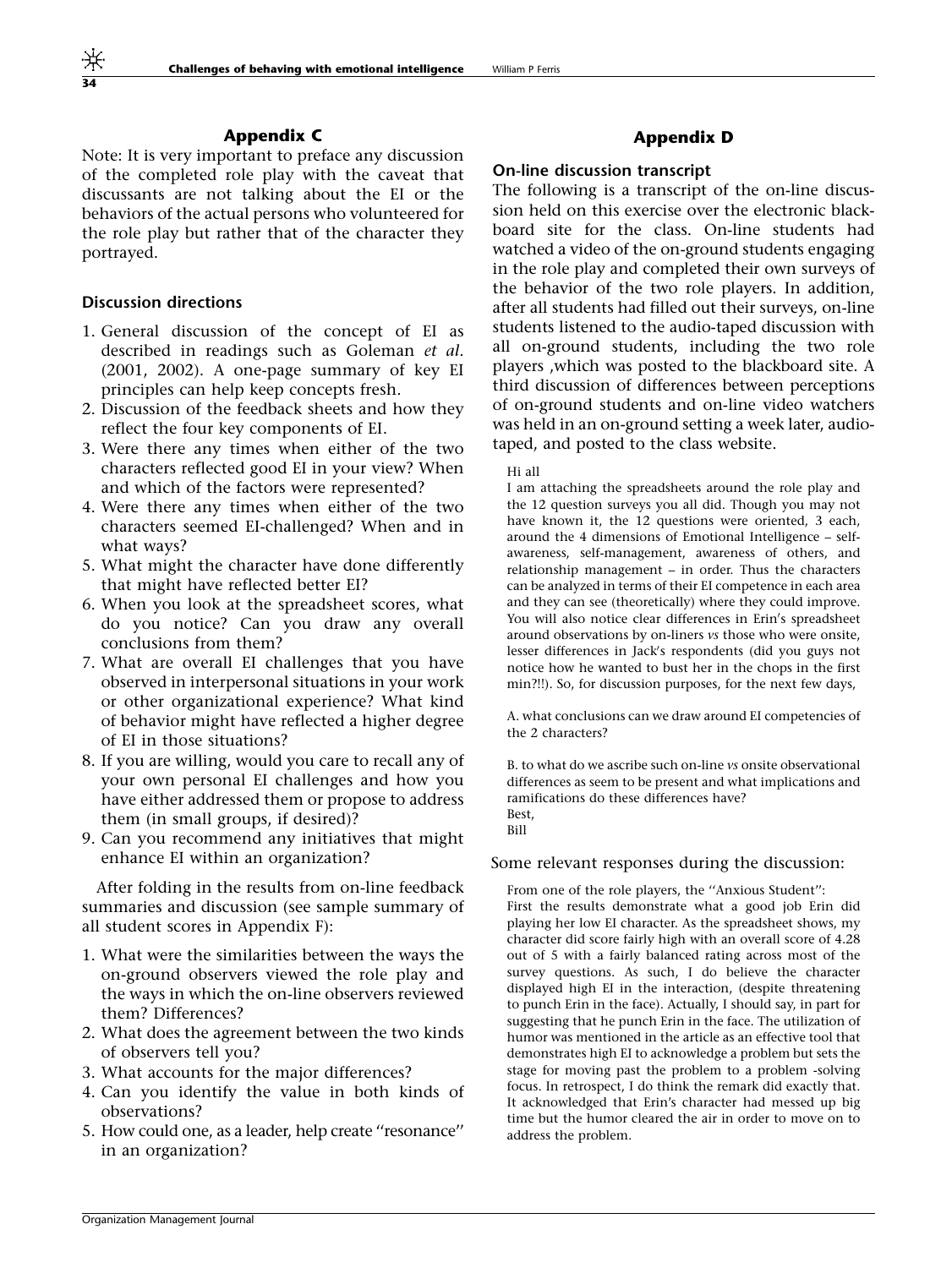# Appendix C

Note: It is very important to preface any discussion of the completed role play with the caveat that discussants are not talking about the EI or the behaviors of the actual persons who volunteered for the role play but rather that of the character they portrayed.

# Discussion directions

- 1. General discussion of the concept of EI as described in readings such as Goleman et al. (2001, 2002). A one-page summary of key EI principles can help keep concepts fresh.
- 2. Discussion of the feedback sheets and how they reflect the four key components of EI.
- 3. Were there any times when either of the two characters reflected good EI in your view? When and which of the factors were represented?
- 4. Were there any times when either of the two characters seemed EI-challenged? When and in what ways?
- 5. What might the character have done differently that might have reflected better EI?
- 6. When you look at the spreadsheet scores, what do you notice? Can you draw any overall conclusions from them?
- 7. What are overall EI challenges that you have observed in interpersonal situations in your work or other organizational experience? What kind of behavior might have reflected a higher degree of EI in those situations?
- 8. If you are willing, would you care to recall any of your own personal EI challenges and how you have either addressed them or propose to address them (in small groups, if desired)?
- 9. Can you recommend any initiatives that might enhance EI within an organization?

After folding in the results from on-line feedback summaries and discussion (see sample summary of all student scores in Appendix F):

- 1. What were the similarities between the ways the on-ground observers viewed the role play and the ways in which the on-line observers reviewed them? Differences?
- 2. What does the agreement between the two kinds of observers tell you?
- 3. What accounts for the major differences?
- 4. Can you identify the value in both kinds of observations?
- 5. How could one, as a leader, help create ''resonance'' in an organization?

# Appendix D

#### On-line discussion transcript

The following is a transcript of the on-line discussion held on this exercise over the electronic blackboard site for the class. On-line students had watched a video of the on-ground students engaging in the role play and completed their own surveys of the behavior of the two role players. In addition, after all students had filled out their surveys, on-line students listened to the audio-taped discussion with all on-ground students, including the two role players ,which was posted to the blackboard site. A third discussion of differences between perceptions of on-ground students and on-line video watchers was held in an on-ground setting a week later, audiotaped, and posted to the class website.

Hi all

I am attaching the spreadsheets around the role play and the 12 question surveys you all did. Though you may not have known it, the 12 questions were oriented, 3 each, around the 4 dimensions of Emotional Intelligence – selfawareness, self-management, awareness of others, and relationship management – in order. Thus the characters can be analyzed in terms of their EI competence in each area and they can see (theoretically) where they could improve. You will also notice clear differences in Erin's spreadsheet around observations by on-liners vs those who were onsite, lesser differences in Jack's respondents (did you guys not notice how he wanted to bust her in the chops in the first min?!!). So, for discussion purposes, for the next few days,

A. what conclusions can we draw around EI competencies of the 2 characters?

B. to what do we ascribe such on-line vs onsite observational differences as seem to be present and what implications and ramifications do these differences have? Best, Bill

#### Some relevant responses during the discussion:

From one of the role players, the ''Anxious Student'': First the results demonstrate what a good job Erin did playing her low EI character. As the spreadsheet shows, my character did score fairly high with an overall score of 4.28 out of 5 with a fairly balanced rating across most of the survey questions. As such, I do believe the character displayed high EI in the interaction, (despite threatening to punch Erin in the face). Actually, I should say, in part for suggesting that he punch Erin in the face. The utilization of humor was mentioned in the article as an effective tool that demonstrates high EI to acknowledge a problem but sets the stage for moving past the problem to a problem -solving focus. In retrospect, I do think the remark did exactly that. It acknowledged that Erin's character had messed up big time but the humor cleared the air in order to move on to address the problem.

34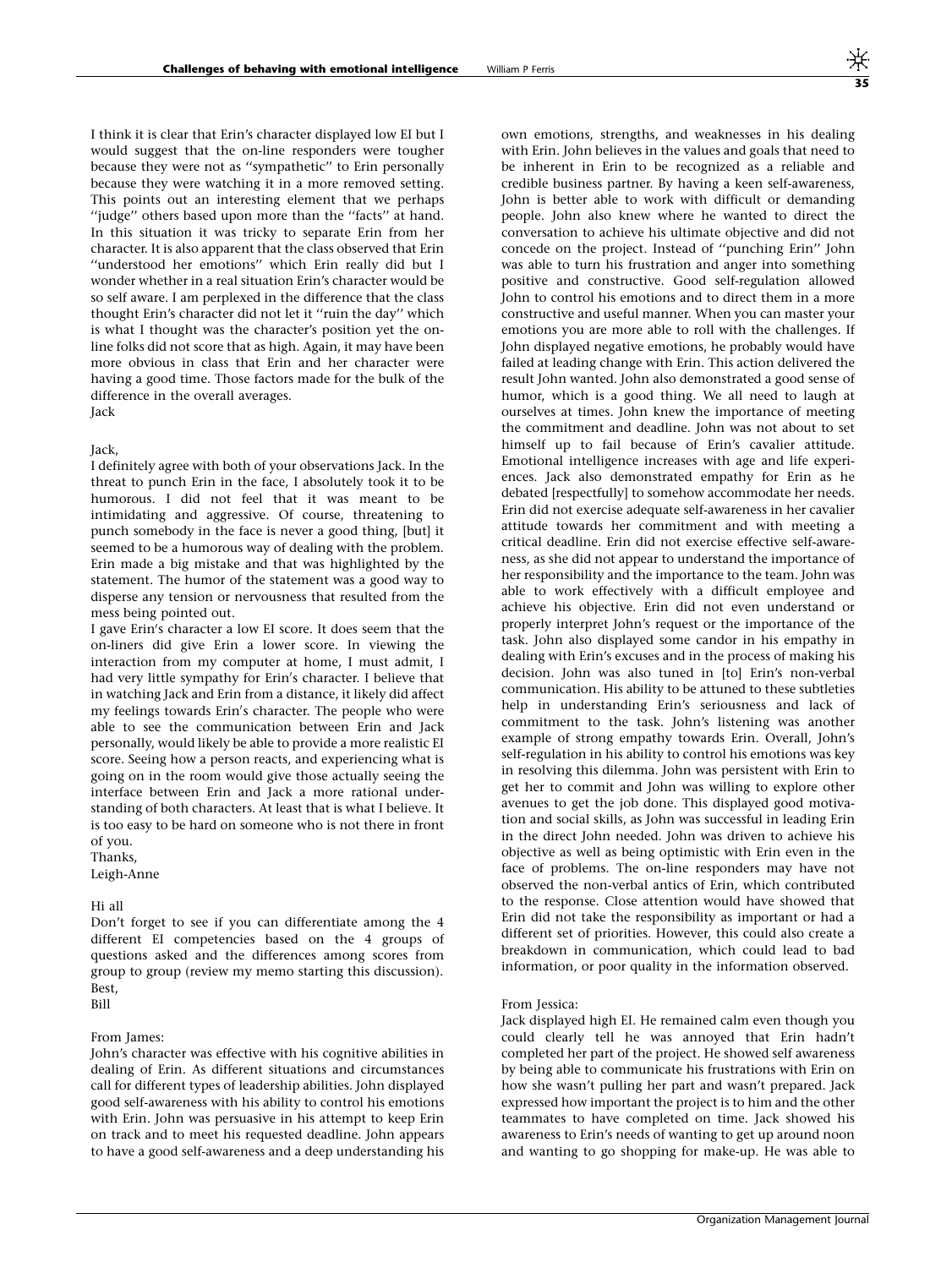I think it is clear that Erin's character displayed low EI but I would suggest that the on-line responders were tougher because they were not as ''sympathetic'' to Erin personally because they were watching it in a more removed setting. This points out an interesting element that we perhaps ''judge'' others based upon more than the ''facts'' at hand. In this situation it was tricky to separate Erin from her character. It is also apparent that the class observed that Erin ''understood her emotions'' which Erin really did but I wonder whether in a real situation Erin's character would be so self aware. I am perplexed in the difference that the class thought Erin's character did not let it ''ruin the day'' which is what I thought was the character's position yet the online folks did not score that as high. Again, it may have been more obvious in class that Erin and her character were having a good time. Those factors made for the bulk of the difference in the overall averages. Jack

#### Jack,

I definitely agree with both of your observations Jack. In the threat to punch Erin in the face, I absolutely took it to be humorous. I did not feel that it was meant to be intimidating and aggressive. Of course, threatening to punch somebody in the face is never a good thing, [but] it seemed to be a humorous way of dealing with the problem. Erin made a big mistake and that was highlighted by the statement. The humor of the statement was a good way to disperse any tension or nervousness that resulted from the mess being pointed out.

I gave Erin's character a low EI score. It does seem that the on-liners did give Erin a lower score. In viewing the interaction from my computer at home, I must admit, I had very little sympathy for Erin's character. I believe that in watching Jack and Erin from a distance, it likely did affect my feelings towards Erin's character. The people who were able to see the communication between Erin and Jack personally, would likely be able to provide a more realistic EI score. Seeing how a person reacts, and experiencing what is going on in the room would give those actually seeing the interface between Erin and Jack a more rational understanding of both characters. At least that is what I believe. It is too easy to be hard on someone who is not there in front of you.

Thanks,

Leigh-Anne

#### Hi all

Don't forget to see if you can differentiate among the 4 different EI competencies based on the 4 groups of questions asked and the differences among scores from group to group (review my memo starting this discussion). Best, Bill

# From James:

John's character was effective with his cognitive abilities in dealing of Erin. As different situations and circumstances call for different types of leadership abilities. John displayed good self-awareness with his ability to control his emotions with Erin. John was persuasive in his attempt to keep Erin on track and to meet his requested deadline. John appears to have a good self-awareness and a deep understanding his

own emotions, strengths, and weaknesses in his dealing with Erin. John believes in the values and goals that need to be inherent in Erin to be recognized as a reliable and credible business partner. By having a keen self-awareness, John is better able to work with difficult or demanding people. John also knew where he wanted to direct the conversation to achieve his ultimate objective and did not concede on the project. Instead of ''punching Erin'' John was able to turn his frustration and anger into something positive and constructive. Good self-regulation allowed John to control his emotions and to direct them in a more constructive and useful manner. When you can master your emotions you are more able to roll with the challenges. If John displayed negative emotions, he probably would have failed at leading change with Erin. This action delivered the result John wanted. John also demonstrated a good sense of humor, which is a good thing. We all need to laugh at ourselves at times. John knew the importance of meeting the commitment and deadline. John was not about to set himself up to fail because of Erin's cavalier attitude. Emotional intelligence increases with age and life experiences. Jack also demonstrated empathy for Erin as he debated [respectfully] to somehow accommodate her needs. Erin did not exercise adequate self-awareness in her cavalier attitude towards her commitment and with meeting a critical deadline. Erin did not exercise effective self-awareness, as she did not appear to understand the importance of her responsibility and the importance to the team. John was able to work effectively with a difficult employee and achieve his objective. Erin did not even understand or properly interpret John's request or the importance of the task. John also displayed some candor in his empathy in dealing with Erin's excuses and in the process of making his decision. John was also tuned in [to] Erin's non-verbal communication. His ability to be attuned to these subtleties help in understanding Erin's seriousness and lack of commitment to the task. John's listening was another example of strong empathy towards Erin. Overall, John's self-regulation in his ability to control his emotions was key in resolving this dilemma. John was persistent with Erin to get her to commit and John was willing to explore other avenues to get the job done. This displayed good motivation and social skills, as John was successful in leading Erin in the direct John needed. John was driven to achieve his objective as well as being optimistic with Erin even in the face of problems. The on-line responders may have not observed the non-verbal antics of Erin, which contributed to the response. Close attention would have showed that Erin did not take the responsibility as important or had a different set of priorities. However, this could also create a breakdown in communication, which could lead to bad information, or poor quality in the information observed.

#### From Jessica:

Jack displayed high EI. He remained calm even though you could clearly tell he was annoyed that Erin hadn't completed her part of the project. He showed self awareness by being able to communicate his frustrations with Erin on how she wasn't pulling her part and wasn't prepared. Jack expressed how important the project is to him and the other teammates to have completed on time. Jack showed his awareness to Erin's needs of wanting to get up around noon and wanting to go shopping for make-up. He was able to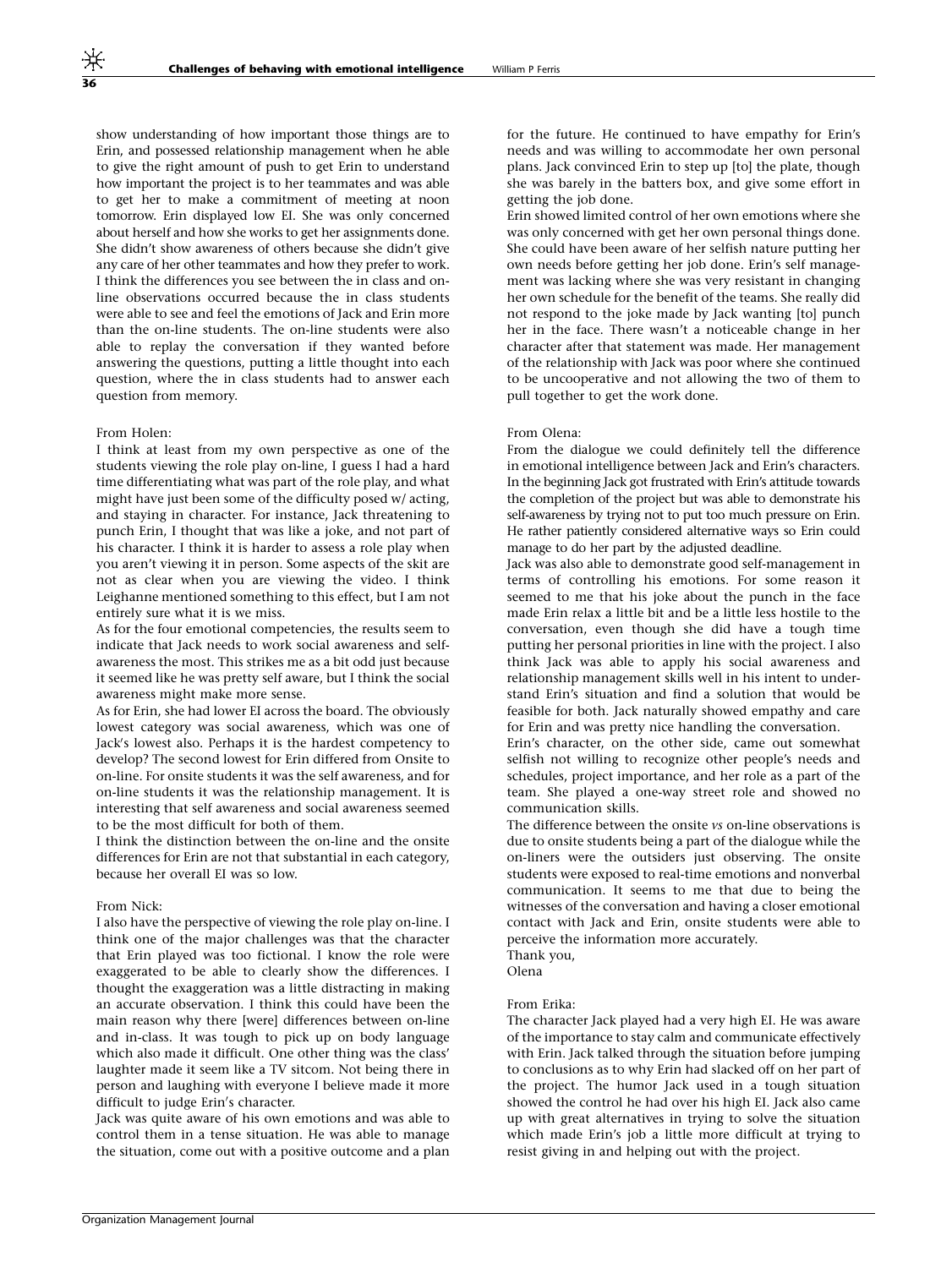show understanding of how important those things are to Erin, and possessed relationship management when he able to give the right amount of push to get Erin to understand how important the project is to her teammates and was able to get her to make a commitment of meeting at noon tomorrow. Erin displayed low EI. She was only concerned about herself and how she works to get her assignments done. She didn't show awareness of others because she didn't give any care of her other teammates and how they prefer to work. I think the differences you see between the in class and online observations occurred because the in class students were able to see and feel the emotions of Jack and Erin more than the on-line students. The on-line students were also able to replay the conversation if they wanted before answering the questions, putting a little thought into each question, where the in class students had to answer each question from memory.

#### From Holen:

I think at least from my own perspective as one of the students viewing the role play on-line, I guess I had a hard time differentiating what was part of the role play, and what might have just been some of the difficulty posed w/ acting, and staying in character. For instance, Jack threatening to punch Erin, I thought that was like a joke, and not part of his character. I think it is harder to assess a role play when you aren't viewing it in person. Some aspects of the skit are not as clear when you are viewing the video. I think Leighanne mentioned something to this effect, but I am not entirely sure what it is we miss.

As for the four emotional competencies, the results seem to indicate that Jack needs to work social awareness and selfawareness the most. This strikes me as a bit odd just because it seemed like he was pretty self aware, but I think the social awareness might make more sense.

As for Erin, she had lower EI across the board. The obviously lowest category was social awareness, which was one of Jack's lowest also. Perhaps it is the hardest competency to develop? The second lowest for Erin differed from Onsite to on-line. For onsite students it was the self awareness, and for on-line students it was the relationship management. It is interesting that self awareness and social awareness seemed to be the most difficult for both of them.

I think the distinction between the on-line and the onsite differences for Erin are not that substantial in each category, because her overall EI was so low.

#### From Nick:

I also have the perspective of viewing the role play on-line. I think one of the major challenges was that the character that Erin played was too fictional. I know the role were exaggerated to be able to clearly show the differences. I thought the exaggeration was a little distracting in making an accurate observation. I think this could have been the main reason why there [were] differences between on-line and in-class. It was tough to pick up on body language which also made it difficult. One other thing was the class' laughter made it seem like a TV sitcom. Not being there in person and laughing with everyone I believe made it more difficult to judge Erin's character.

Jack was quite aware of his own emotions and was able to control them in a tense situation. He was able to manage the situation, come out with a positive outcome and a plan for the future. He continued to have empathy for Erin's needs and was willing to accommodate her own personal plans. Jack convinced Erin to step up [to] the plate, though she was barely in the batters box, and give some effort in getting the job done.

Erin showed limited control of her own emotions where she was only concerned with get her own personal things done. She could have been aware of her selfish nature putting her own needs before getting her job done. Erin's self management was lacking where she was very resistant in changing her own schedule for the benefit of the teams. She really did not respond to the joke made by Jack wanting [to] punch her in the face. There wasn't a noticeable change in her character after that statement was made. Her management of the relationship with Jack was poor where she continued to be uncooperative and not allowing the two of them to pull together to get the work done.

#### From Olena:

From the dialogue we could definitely tell the difference in emotional intelligence between Jack and Erin's characters. In the beginning Jack got frustrated with Erin's attitude towards the completion of the project but was able to demonstrate his self-awareness by trying not to put too much pressure on Erin. He rather patiently considered alternative ways so Erin could manage to do her part by the adjusted deadline.

Jack was also able to demonstrate good self-management in terms of controlling his emotions. For some reason it seemed to me that his joke about the punch in the face made Erin relax a little bit and be a little less hostile to the conversation, even though she did have a tough time putting her personal priorities in line with the project. I also think Jack was able to apply his social awareness and relationship management skills well in his intent to understand Erin's situation and find a solution that would be feasible for both. Jack naturally showed empathy and care for Erin and was pretty nice handling the conversation.

Erin's character, on the other side, came out somewhat selfish not willing to recognize other people's needs and schedules, project importance, and her role as a part of the team. She played a one-way street role and showed no communication skills.

The difference between the onsite vs on-line observations is due to onsite students being a part of the dialogue while the on-liners were the outsiders just observing. The onsite students were exposed to real-time emotions and nonverbal communication. It seems to me that due to being the witnesses of the conversation and having a closer emotional contact with Jack and Erin, onsite students were able to perceive the information more accurately.

Thank you, Olena

# From Erika:

The character Jack played had a very high EI. He was aware of the importance to stay calm and communicate effectively with Erin. Jack talked through the situation before jumping to conclusions as to why Erin had slacked off on her part of the project. The humor Jack used in a tough situation showed the control he had over his high EI. Jack also came up with great alternatives in trying to solve the situation which made Erin's job a little more difficult at trying to resist giving in and helping out with the project.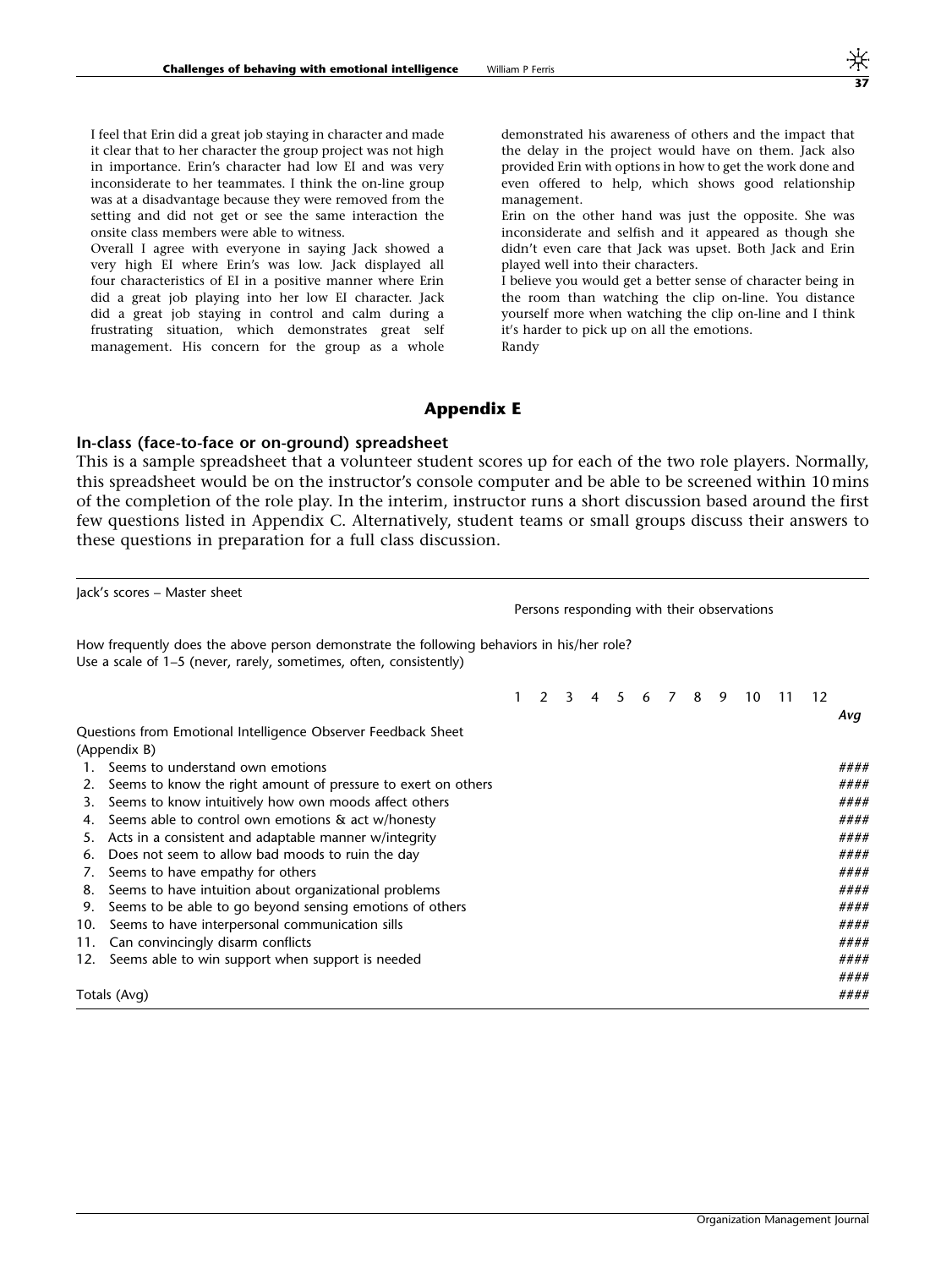I feel that Erin did a great job staying in character and made it clear that to her character the group project was not high in importance. Erin's character had low EI and was very inconsiderate to her teammates. I think the on-line group was at a disadvantage because they were removed from the setting and did not get or see the same interaction the onsite class members were able to witness.

Overall I agree with everyone in saying Jack showed a very high EI where Erin's was low. Jack displayed all four characteristics of EI in a positive manner where Erin did a great job playing into her low EI character. Jack did a great job staying in control and calm during a frustrating situation, which demonstrates great self management. His concern for the group as a whole demonstrated his awareness of others and the impact that the delay in the project would have on them. Jack also provided Erin with options in how to get the work done and even offered to help, which shows good relationship management.

Erin on the other hand was just the opposite. She was inconsiderate and selfish and it appeared as though she didn't even care that Jack was upset. Both Jack and Erin played well into their characters.

I believe you would get a better sense of character being in the room than watching the clip on-line. You distance yourself more when watching the clip on-line and I think it's harder to pick up on all the emotions. Randy

#### Appendix E

#### In-class (face-to-face or on-ground) spreadsheet

This is a sample spreadsheet that a volunteer student scores up for each of the two role players. Normally, this spreadsheet would be on the instructor's console computer and be able to be screened within 10 mins of the completion of the role play. In the interim, instructor runs a short discussion based around the first few questions listed in Appendix C. Alternatively, student teams or small groups discuss their answers to these questions in preparation for a full class discussion.

Jack's scores – Master sheet Persons responding with their observations How frequently does the above person demonstrate the following behaviors in his/her role? Use a scale of 1–5 (never, rarely, sometimes, often, consistently) 1 2 3 4 5 6 7 8 9 10 11 12 Avg Questions from Emotional Intelligence Observer Feedback Sheet (Appendix B) 1. Seems to understand own emotions  $\#H\#H$ 2. Seems to know the right amount of pressure to exert on others  $\#H\#H$ 3. Seems to know intuitively how own moods affect others **EXALL 2008** 2008 2014 2015 2022 2023 2023 2024 2022 202 4. Seems able to control own emotions  $\&$  act w/honesty  $\frac{4\#H}{\#H}$ 5. Acts in a consistent and adaptable manner w/integrity  $\#H \#H$ 6. Does not seem to allow bad moods to ruin the day  $\#H\#H$ 7. Seems to have empathy for others  $\# \# \#$ 8. Seems to have intuition about organizational problems  $\#$ ###  $\}$ 9. Seems to be able to go beyond sensing emotions of others  $\#$ ###  $\#$ 10. Seems to have interpersonal communication sills  $\#H\#H$ 11. Can convincingly disarm conflicts  $\#$   $\#$   $\#$   $\#$ 12. Seems able to win support when support is needed  $\#$ ###  $\#$ ####

Totals (Avg) ####